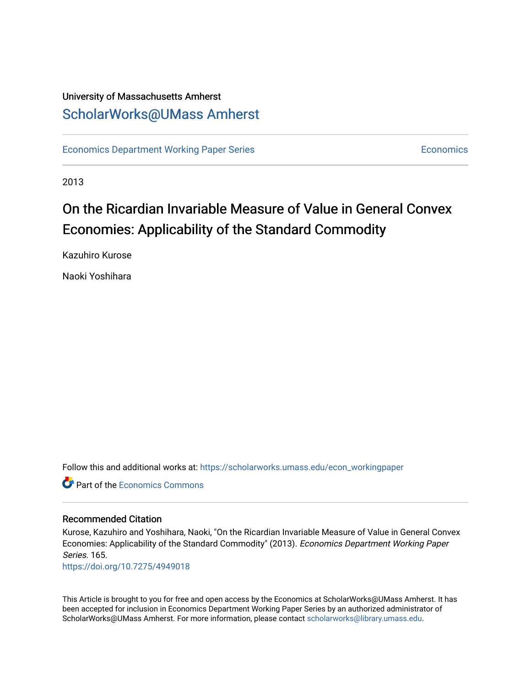## University of Massachusetts Amherst [ScholarWorks@UMass Amherst](https://scholarworks.umass.edu/)

[Economics Department Working Paper Series](https://scholarworks.umass.edu/econ_workingpaper) **Economics** [Economics](https://scholarworks.umass.edu/economics) Economics

2013

## On the Ricardian Invariable Measure of Value in General Convex Economies: Applicability of the Standard Commodity

Kazuhiro Kurose

Naoki Yoshihara

Follow this and additional works at: [https://scholarworks.umass.edu/econ\\_workingpaper](https://scholarworks.umass.edu/econ_workingpaper?utm_source=scholarworks.umass.edu%2Fecon_workingpaper%2F165&utm_medium=PDF&utm_campaign=PDFCoverPages) 

**C** Part of the [Economics Commons](http://network.bepress.com/hgg/discipline/340?utm_source=scholarworks.umass.edu%2Fecon_workingpaper%2F165&utm_medium=PDF&utm_campaign=PDFCoverPages)

#### Recommended Citation

Kurose, Kazuhiro and Yoshihara, Naoki, "On the Ricardian Invariable Measure of Value in General Convex Economies: Applicability of the Standard Commodity" (2013). Economics Department Working Paper Series. 165.

<https://doi.org/10.7275/4949018>

This Article is brought to you for free and open access by the Economics at ScholarWorks@UMass Amherst. It has been accepted for inclusion in Economics Department Working Paper Series by an authorized administrator of ScholarWorks@UMass Amherst. For more information, please contact [scholarworks@library.umass.edu.](mailto:scholarworks@library.umass.edu)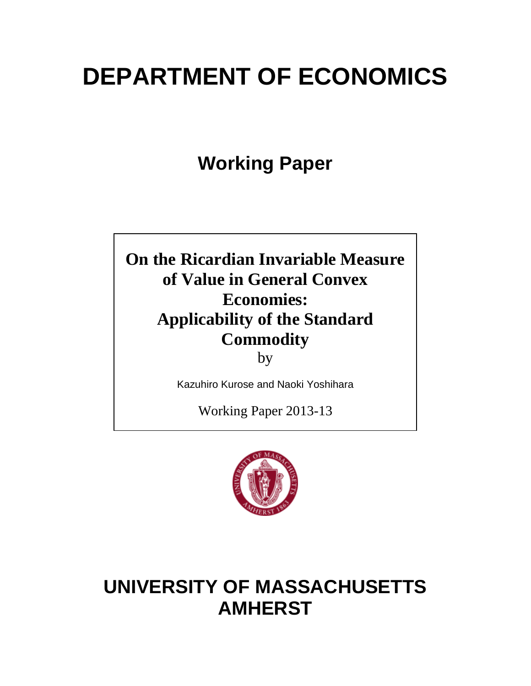# **DEPARTMENT OF ECONOMICS**

**Working Paper**

**On the Ricardian Invariable Measure of Value in General Convex Economies: Applicability of the Standard Commodity**

by

Kazuhiro Kurose and Naoki Yoshihara

Working Paper 2013-13



## **UNIVERSITY OF MASSACHUSETTS AMHERST**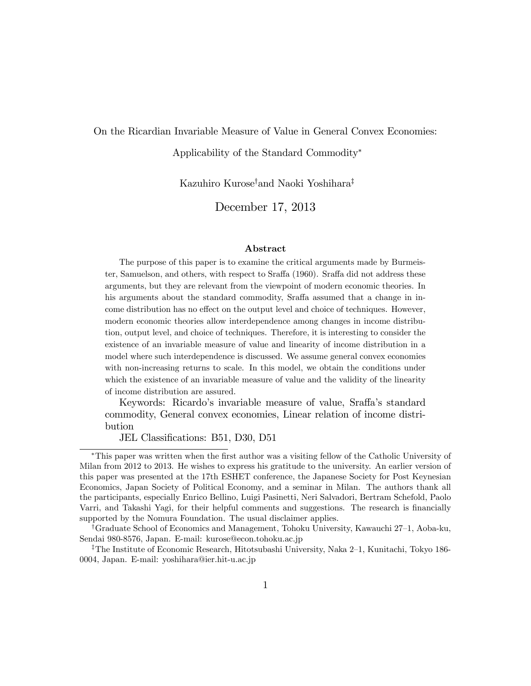#### On the Ricardian Invariable Measure of Value in General Convex Economies:

#### Applicability of the Standard Commodity

Kazuhiro Kurose<sup>†</sup>and Naoki Yoshihara<sup>‡</sup>

December 17, 2013

#### Abstract

The purpose of this paper is to examine the critical arguments made by Burmeister, Samuelson, and others, with respect to Sraffa (1960). Sraffa did not address these arguments, but they are relevant from the viewpoint of modern economic theories. In his arguments about the standard commodity, Sraffa assumed that a change in income distribution has no effect on the output level and choice of techniques. However, modern economic theories allow interdependence among changes in income distribution, output level, and choice of techniques. Therefore, it is interesting to consider the existence of an invariable measure of value and linearity of income distribution in a model where such interdependence is discussed. We assume general convex economies with non-increasing returns to scale. In this model, we obtain the conditions under which the existence of an invariable measure of value and the validity of the linearity of income distribution are assured.

Keywords: Ricardo's invariable measure of value, Sraffa's standard commodity, General convex economies, Linear relation of income distribution

JEL Classifications: B51, D30, D51

This paper was written when the Örst author was a visiting fellow of the Catholic University of Milan from 2012 to 2013. He wishes to express his gratitude to the university. An earlier version of this paper was presented at the 17th ESHET conference, the Japanese Society for Post Keynesian Economics, Japan Society of Political Economy, and a seminar in Milan. The authors thank all the participants, especially Enrico Bellino, Luigi Pasinetti, Neri Salvadori, Bertram Schefold, Paolo Varri, and Takashi Yagi, for their helpful comments and suggestions. The research is financially supported by the Nomura Foundation. The usual disclaimer applies.

<sup>&</sup>lt;sup>†</sup>Graduate School of Economics and Management, Tohoku University, Kawauchi 27–1, Aoba-ku, Sendai 980-8576, Japan. E-mail: kurose@econ.tohoku.ac.jp

<sup>&</sup>lt;sup>‡</sup>The Institute of Economic Research, Hitotsubashi University, Naka 2–1, Kunitachi, Tokyo 186-0004, Japan. E-mail: yoshihara@ier.hit-u.ac.jp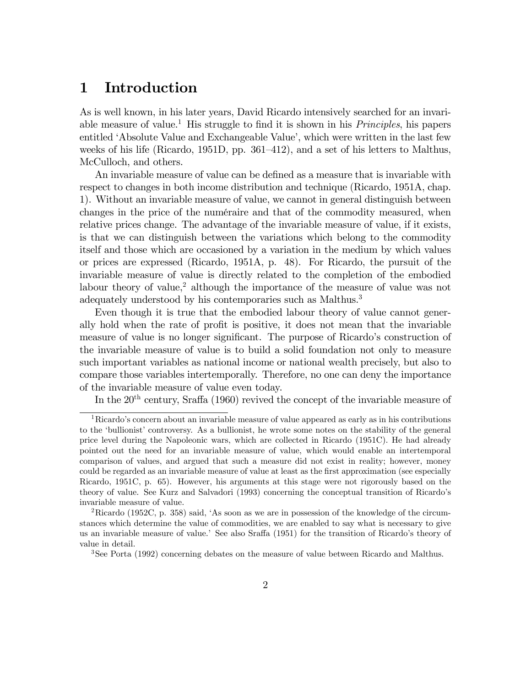## 1 Introduction

As is well known, in his later years, David Ricardo intensively searched for an invariable measure of value.<sup>1</sup> His struggle to find it is shown in his *Principles*, his papers entitled 'Absolute Value and Exchangeable Value', which were written in the last few weeks of his life (Ricardo, 1951D, pp.  $361-412$ ), and a set of his letters to Malthus, McCulloch, and others.

An invariable measure of value can be defined as a measure that is invariable with respect to changes in both income distribution and technique (Ricardo, 1951A, chap. 1). Without an invariable measure of value, we cannot in general distinguish between changes in the price of the numéraire and that of the commodity measured, when relative prices change. The advantage of the invariable measure of value, if it exists, is that we can distinguish between the variations which belong to the commodity itself and those which are occasioned by a variation in the medium by which values or prices are expressed (Ricardo, 1951A, p. 48). For Ricardo, the pursuit of the invariable measure of value is directly related to the completion of the embodied labour theory of value,<sup>2</sup> although the importance of the measure of value was not adequately understood by his contemporaries such as Malthus.<sup>3</sup>

Even though it is true that the embodied labour theory of value cannot generally hold when the rate of profit is positive, it does not mean that the invariable measure of value is no longer significant. The purpose of Ricardo's construction of the invariable measure of value is to build a solid foundation not only to measure such important variables as national income or national wealth precisely, but also to compare those variables intertemporally. Therefore, no one can deny the importance of the invariable measure of value even today.

In the  $20<sup>th</sup>$  century, Sraffa (1960) revived the concept of the invariable measure of

 $1$ Ricardo's concern about an invariable measure of value appeared as early as in his contributions to the 'bullionist' controversy. As a bullionist, he wrote some notes on the stability of the general price level during the Napoleonic wars, which are collected in Ricardo (1951C). He had already pointed out the need for an invariable measure of value, which would enable an intertemporal comparison of values, and argued that such a measure did not exist in reality; however, money could be regarded as an invariable measure of value at least as the first approximation (see especially Ricardo, 1951C, p. 65). However, his arguments at this stage were not rigorously based on the theory of value. See Kurz and Salvadori (1993) concerning the conceptual transition of Ricardoís invariable measure of value.

<sup>2</sup>Ricardo (1952C, p. 358) said, ëAs soon as we are in possession of the knowledge of the circumstances which determine the value of commodities, we are enabled to say what is necessary to give us an invariable measure of value.<sup>7</sup> See also Sraffa (1951) for the transition of Ricardo's theory of value in detail.

<sup>&</sup>lt;sup>3</sup>See Porta (1992) concerning debates on the measure of value between Ricardo and Malthus.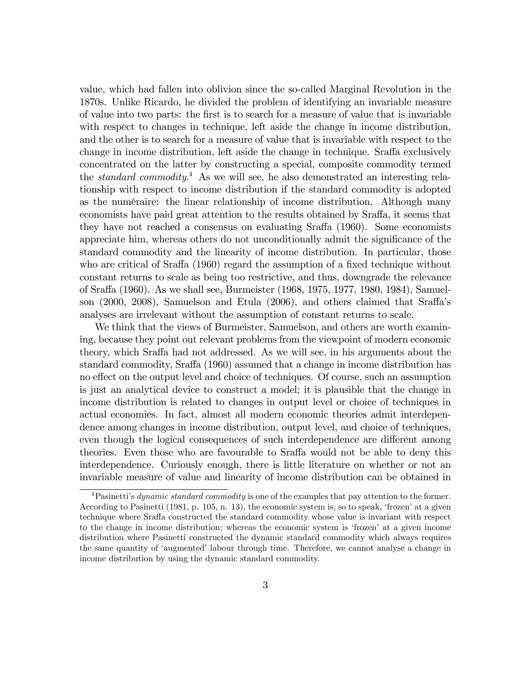value, which had fallen into oblivion since the so-called Marginal Revolution in the 1870s. Unlike Ricardo, he divided the problem of identifying an invariable measure of value into two parts: the Örst is to search for a measure of value that is invariable with respect to changes in technique, left aside the change in income distribution, and the other is to search for a measure of value that is invariable with respect to the change in income distribution, left aside the change in technique. Sraffa exclusively concentrated on the latter by constructing a special, composite commodity termed the *standard commodity*.<sup>4</sup> As we will see, he also demonstrated an interesting relationship with respect to income distribution if the standard commodity is adopted as the numéraire: the linear relationship of income distribution. Although many economists have paid great attention to the results obtained by Sraffa, it seems that they have not reached a consensus on evaluating Sraffa (1960). Some economists appreciate him, whereas others do not unconditionally admit the significance of the standard commodity and the linearity of income distribution. In particular, those who are critical of Sraffa  $(1960)$  regard the assumption of a fixed technique without constant returns to scale as being too restrictive, and thus, downgrade the relevance of Sraffa (1960). As we shall see, Burmeister (1968, 1975, 1977, 1980, 1984), Samuelson  $(2000, 2008)$ , Samuelson and Etula  $(2006)$ , and others claimed that Sraffa's analyses are irrelevant without the assumption of constant returns to scale.

We think that the views of Burmeister, Samuelson, and others are worth examining, because they point out relevant problems from the viewpoint of modern economic theory, which Sraffa had not addressed. As we will see, in his arguments about the standard commodity, Sraffa (1960) assumed that a change in income distribution has no effect on the output level and choice of techniques. Of course, such an assumption is just an analytical device to construct a model; it is plausible that the change in income distribution is related to changes in output level or choice of techniques in actual economies. In fact, almost all modern economic theories admit interdependence among changes in income distribution, output level, and choice of techniques, even though the logical consequences of such interdependence are different among theories. Even those who are favourable to Sraffa would not be able to deny this interdependence. Curiously enough, there is little literature on whether or not an invariable measure of value and linearity of income distribution can be obtained in

<sup>&</sup>lt;sup>4</sup>Pasinetti's *dynamic standard commodity* is one of the examples that pay attention to the former. According to Pasinetti  $(1981, p. 105, n. 13)$ , the economic system is, so to speak, 'frozen' at a given technique where Sraffa constructed the standard commodity whose value is invariant with respect to the change in income distribution; whereas the economic system is 'frozen' at a given income distribution where Pasinetti constructed the dynamic standard commodity which always requires the same quantity of 'augmented' labour through time. Therefore, we cannot analyse a change in income distribution by using the dynamic standard commodity.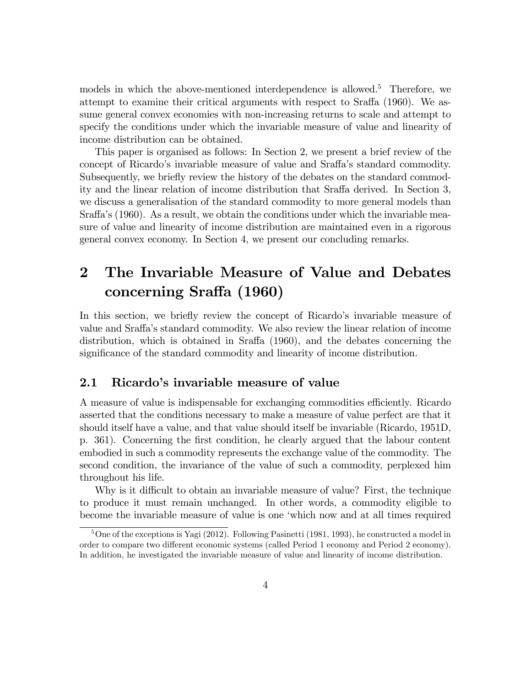models in which the above-mentioned interdependence is allowed.<sup>5</sup> Therefore, we attempt to examine their critical arguments with respect to Sraffa (1960). We assume general convex economies with non-increasing returns to scale and attempt to specify the conditions under which the invariable measure of value and linearity of income distribution can be obtained.

This paper is organised as follows: In Section 2, we present a brief review of the concept of Ricardo's invariable measure of value and Sraffa's standard commodity. Subsequently, we briefly review the history of the debates on the standard commodity and the linear relation of income distribution that Sraffa derived. In Section 3, we discuss a generalisation of the standard commodity to more general models than Sraffa's (1960). As a result, we obtain the conditions under which the invariable measure of value and linearity of income distribution are maintained even in a rigorous general convex economy. In Section 4, we present our concluding remarks.

## 2 The Invariable Measure of Value and Debates concerning Sraffa (1960)

In this section, we briefly review the concept of Ricardo's invariable measure of value and Sraffa's standard commodity. We also review the linear relation of income distribution, which is obtained in Sraffa  $(1960)$ , and the debates concerning the significance of the standard commodity and linearity of income distribution.

#### 2.1 Ricardo's invariable measure of value

A measure of value is indispensable for exchanging commodities efficiently. Ricardo asserted that the conditions necessary to make a measure of value perfect are that it should itself have a value, and that value should itself be invariable (Ricardo, 1951D, p. 361). Concerning the Örst condition, he clearly argued that the labour content embodied in such a commodity represents the exchange value of the commodity. The second condition, the invariance of the value of such a commodity, perplexed him throughout his life.

Why is it difficult to obtain an invariable measure of value? First, the technique to produce it must remain unchanged. In other words, a commodity eligible to become the invariable measure of value is one ëwhich now and at all times required

 $5$ One of the exceptions is Yagi (2012). Following Pasinetti (1981, 1993), he constructed a model in order to compare two different economic systems (called Period 1 economy and Period 2 economy). In addition, he investigated the invariable measure of value and linearity of income distribution.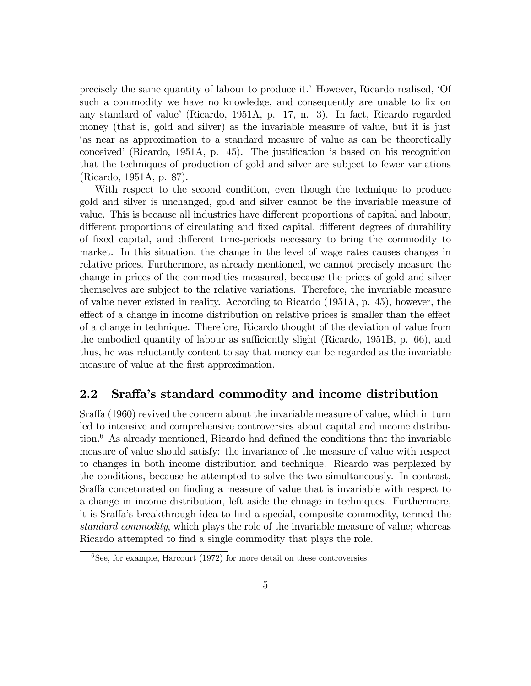precisely the same quantity of labour to produce it.' However, Ricardo realised, 'Of such a commodity we have no knowledge, and consequently are unable to fix on any standard of value' (Ricardo, 1951A, p. 17, n. 3). In fact, Ricardo regarded money (that is, gold and silver) as the invariable measure of value, but it is just ëas near as approximation to a standard measure of value as can be theoretically conceived' (Ricardo, 1951A, p.  $45$ ). The justification is based on his recognition that the techniques of production of gold and silver are subject to fewer variations (Ricardo, 1951A, p. 87).

With respect to the second condition, even though the technique to produce gold and silver is unchanged, gold and silver cannot be the invariable measure of value. This is because all industries have different proportions of capital and labour, different proportions of circulating and fixed capital, different degrees of durability of fixed capital, and different time-periods necessary to bring the commodity to market. In this situation, the change in the level of wage rates causes changes in relative prices. Furthermore, as already mentioned, we cannot precisely measure the change in prices of the commodities measured, because the prices of gold and silver themselves are subject to the relative variations. Therefore, the invariable measure of value never existed in reality. According to Ricardo (1951A, p. 45), however, the effect of a change in income distribution on relative prices is smaller than the effect of a change in technique. Therefore, Ricardo thought of the deviation of value from the embodied quantity of labour as sufficiently slight (Ricardo,  $1951B$ , p. 66), and thus, he was reluctantly content to say that money can be regarded as the invariable measure of value at the first approximation.

#### 2.2 Sraffa's standard commodity and income distribution

Sraffa (1960) revived the concern about the invariable measure of value, which in turn led to intensive and comprehensive controversies about capital and income distribution. $6$  As already mentioned, Ricardo had defined the conditions that the invariable measure of value should satisfy: the invariance of the measure of value with respect to changes in both income distribution and technique. Ricardo was perplexed by the conditions, because he attempted to solve the two simultaneously. In contrast, Sraffa concetnrated on finding a measure of value that is invariable with respect to a change in income distribution, left aside the chnage in techniques. Furthermore, it is Sraffa's breakthrough idea to find a special, composite commodity, termed the standard commodity, which plays the role of the invariable measure of value; whereas Ricardo attempted to find a single commodity that plays the role.

 ${}^{6}$ See, for example, Harcourt (1972) for more detail on these controversies.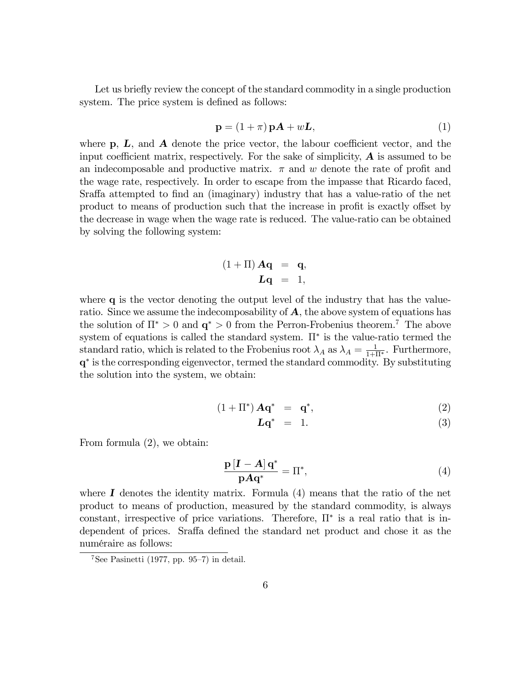Let us briefly review the concept of the standard commodity in a single production system. The price system is defined as follows:

$$
\mathbf{p} = (1 + \pi) \mathbf{p} \mathbf{A} + w \mathbf{L},\tag{1}
$$

where  $\bf{p}, L$ , and  $\bf{A}$  denote the price vector, the labour coefficient vector, and the input coefficient matrix, respectively. For the sake of simplicity,  $\bf{A}$  is assumed to be an indecomposable and productive matrix.  $\pi$  and w denote the rate of profit and the wage rate, respectively. In order to escape from the impasse that Ricardo faced, Sraffa attempted to find an (imaginary) industry that has a value-ratio of the net product to means of production such that the increase in profit is exactly offset by the decrease in wage when the wage rate is reduced. The value-ratio can be obtained by solving the following system:

$$
(1+\Pi) \mathbf{Aq} = \mathbf{q},
$$
  

$$
\mathbf{Lq} = 1,
$$

where **q** is the vector denoting the output level of the industry that has the valueratio. Since we assume the indecomposability of  $A$ , the above system of equations has the solution of  $\Pi^* > 0$  and  $\mathbf{q}^* > 0$  from the Perron-Frobenius theorem.<sup>7</sup> The above system of equations is called the standard system.  $\Pi^*$  is the value-ratio termed the standard ratio, which is related to the Frobenius root  $\lambda_A$  as  $\lambda_A = \frac{1}{1+\Pi^*}$ . Furthermore, q is the corresponding eigenvector, termed the standard commodity. By substituting the solution into the system, we obtain:

$$
(1 + \Pi^*) \mathbf{A} \mathbf{q}^* = \mathbf{q}^*, \tag{2}
$$

$$
Lq^* = 1. \t\t(3)
$$

From formula (2), we obtain:

$$
\frac{\mathbf{p}\left[\mathbf{I} - \mathbf{A}\right]\mathbf{q}^*}{\mathbf{p}\mathbf{A}\mathbf{q}^*} = \Pi^*,\tag{4}
$$

where  $\bf{I}$  denotes the identity matrix. Formula (4) means that the ratio of the net product to means of production, measured by the standard commodity, is always constant, irrespective of price variations. Therefore,  $\Pi^*$  is a real ratio that is independent of prices. Sraffa defined the standard net product and chose it as the numÈraire as follows:

 $7$ See Pasinetti (1977, pp. 95–7) in detail.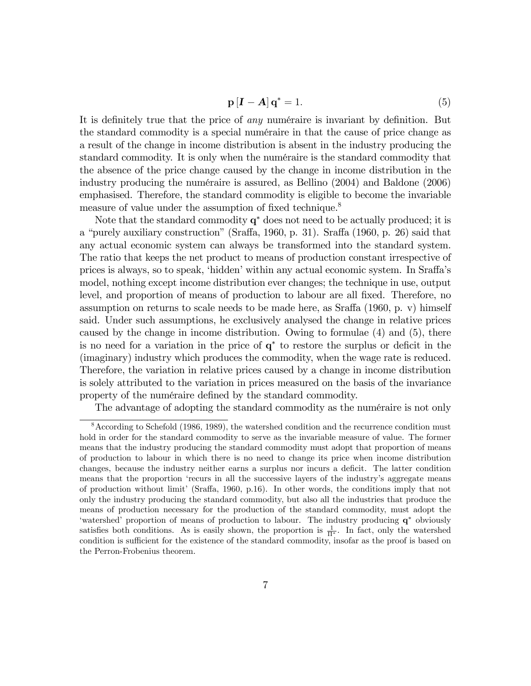$$
\mathbf{p}\left[\mathbf{I}-\mathbf{A}\right]\mathbf{q}^* = 1. \tag{5}
$$

It is definitely true that the price of *any* numéraire is invariant by definition. But the standard commodity is a special numéraire in that the cause of price change as a result of the change in income distribution is absent in the industry producing the standard commodity. It is only when the numéraire is the standard commodity that the absence of the price change caused by the change in income distribution in the industry producing the numéraire is assured, as Bellino  $(2004)$  and Baldone  $(2006)$ emphasised. Therefore, the standard commodity is eligible to become the invariable measure of value under the assumption of fixed technique.<sup>8</sup>

Note that the standard commodity  $q^*$  does not need to be actually produced; it is a "purely auxiliary construction" (Sraffa, 1960, p. 31). Sraffa (1960, p. 26) said that any actual economic system can always be transformed into the standard system. The ratio that keeps the net product to means of production constant irrespective of prices is always, so to speak, 'hidden' within any actual economic system. In Sraffa's model, nothing except income distribution ever changes; the technique in use, output level, and proportion of means of production to labour are all fixed. Therefore, no assumption on returns to scale needs to be made here, as Sraffa  $(1960, p. v)$  himself said. Under such assumptions, he exclusively analysed the change in relative prices caused by the change in income distribution. Owing to formulae (4) and (5), there is no need for a variation in the price of  $q^*$  to restore the surplus or deficit in the (imaginary) industry which produces the commodity, when the wage rate is reduced. Therefore, the variation in relative prices caused by a change in income distribution is solely attributed to the variation in prices measured on the basis of the invariance property of the numéraire defined by the standard commodity.

The advantage of adopting the standard commodity as the numéraire is not only

<sup>8</sup>According to Schefold (1986, 1989), the watershed condition and the recurrence condition must hold in order for the standard commodity to serve as the invariable measure of value. The former means that the industry producing the standard commodity must adopt that proportion of means of production to labour in which there is no need to change its price when income distribution changes, because the industry neither earns a surplus nor incurs a deficit. The latter condition means that the proportion 'recurs in all the successive layers of the industry's aggregate means of production without limit' (Sraffa, 1960, p.16). In other words, the conditions imply that not only the industry producing the standard commodity, but also all the industries that produce the means of production necessary for the production of the standard commodity, must adopt the 'watershed' proportion of means of production to labour. The industry producing  $q^*$  obviously satisfies both conditions. As is easily shown, the proportion is  $\frac{1}{\Pi^*}$ . In fact, only the watershed condition is sufficient for the existence of the standard commodity, insofar as the proof is based on the Perron-Frobenius theorem.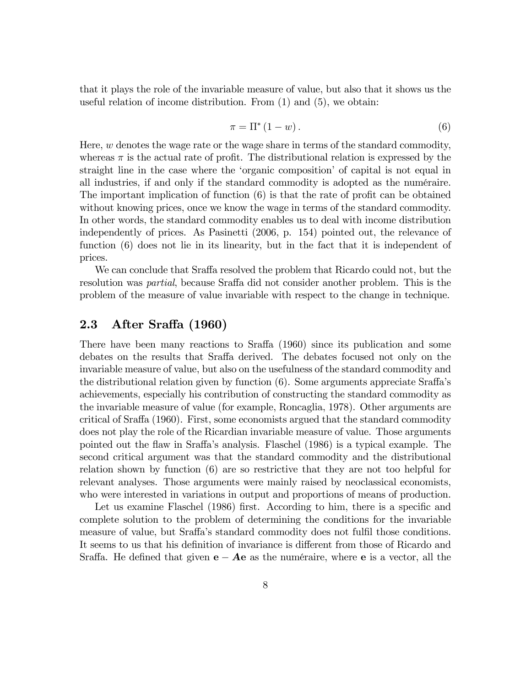that it plays the role of the invariable measure of value, but also that it shows us the useful relation of income distribution. From (1) and (5), we obtain:

$$
\pi = \Pi^* \left( 1 - w \right). \tag{6}
$$

Here,  $w$  denotes the wage rate or the wage share in terms of the standard commodity, whereas  $\pi$  is the actual rate of profit. The distributional relation is expressed by the straight line in the case where the 'organic composition' of capital is not equal in all industries, if and only if the standard commodity is adopted as the numéraire. The important implication of function  $(6)$  is that the rate of profit can be obtained without knowing prices, once we know the wage in terms of the standard commodity. In other words, the standard commodity enables us to deal with income distribution independently of prices. As Pasinetti (2006, p. 154) pointed out, the relevance of function (6) does not lie in its linearity, but in the fact that it is independent of prices.

We can conclude that Sraffa resolved the problem that Ricardo could not, but the resolution was *partial*, because Sraffa did not consider another problem. This is the problem of the measure of value invariable with respect to the change in technique.

#### 2.3 After Sraffa (1960)

There have been many reactions to Sraffa  $(1960)$  since its publication and some debates on the results that Sraffa derived. The debates focused not only on the invariable measure of value, but also on the usefulness of the standard commodity and the distributional relation given by function  $(6)$ . Some arguments appreciate Sraffa's achievements, especially his contribution of constructing the standard commodity as the invariable measure of value (for example, Roncaglia, 1978). Other arguments are critical of Sraffa  $(1960)$ . First, some economists argued that the standard commodity does not play the role of the Ricardian invariable measure of value. Those arguments pointed out the flaw in Sraffa's analysis. Flaschel (1986) is a typical example. The second critical argument was that the standard commodity and the distributional relation shown by function (6) are so restrictive that they are not too helpful for relevant analyses. Those arguments were mainly raised by neoclassical economists, who were interested in variations in output and proportions of means of production.

Let us examine Flaschel (1986) first. According to him, there is a specific and complete solution to the problem of determining the conditions for the invariable measure of value, but Sraffa's standard commodity does not fulfil those conditions. It seems to us that his definition of invariance is different from those of Ricardo and Sraffa. He defined that given  $e - Ae$  as the numéraire, where e is a vector, all the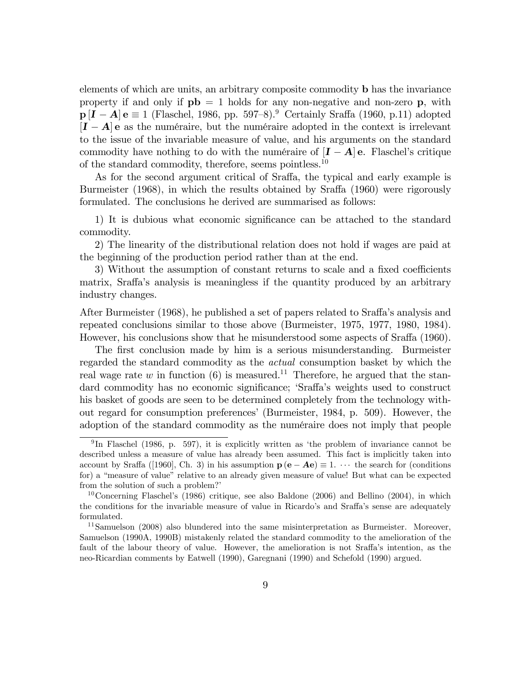elements of which are units, an arbitrary composite commodity b has the invariance property if and only if  $pb = 1$  holds for any non-negative and non-zero p, with  $p[I - A]$  e  $\equiv$  1 (Flaschel, 1986, pp. 597–8).<sup>9</sup> Certainly Sraffa (1960, p.11) adopted  $[I - A]$  e as the numéraire, but the numéraire adopted in the context is irrelevant to the issue of the invariable measure of value, and his arguments on the standard commodity have nothing to do with the numéraire of  $[I - A]$  e. Flaschel's critique of the standard commodity, therefore, seems pointless.  $^{\rm 10}$ 

As for the second argument critical of Sraffa, the typical and early example is Burmeister  $(1968)$ , in which the results obtained by Sraffa  $(1960)$  were rigorously formulated. The conclusions he derived are summarised as follows:

1) It is dubious what economic significance can be attached to the standard commodity.

2) The linearity of the distributional relation does not hold if wages are paid at the beginning of the production period rather than at the end.

3) Without the assumption of constant returns to scale and a fixed coefficients matrix, Sraffa's analysis is meaningless if the quantity produced by an arbitrary industry changes.

After Burmeister (1968), he published a set of papers related to Sraffa's analysis and repeated conclusions similar to those above (Burmeister, 1975, 1977, 1980, 1984). However, his conclusions show that he misunderstood some aspects of Sraffa (1960).

The first conclusion made by him is a serious misunderstanding. Burmeister regarded the standard commodity as the actual consumption basket by which the real wage rate w in function (6) is measured.<sup>11</sup> Therefore, he argued that the standard commodity has no economic significance; 'Sraffa's weights used to construct his basket of goods are seen to be determined completely from the technology without regard for consumption preferencesí (Burmeister, 1984, p. 509). However, the adoption of the standard commodity as the numéraire does not imply that people

<sup>&</sup>lt;sup>9</sup>In Flaschel (1986, p. 597), it is explicitly written as 'the problem of invariance cannot be described unless a measure of value has already been assumed. This fact is implicitly taken into account by Sraffa ([1960], Ch. 3) in his assumption  $p(e - Ae) \equiv 1$ .  $\cdots$  the search for (conditions for) a "measure of value" relative to an already given measure of value! But what can be expected from the solution of such a problem?

<sup>&</sup>lt;sup>10</sup>Concerning Flaschel's  $(1986)$  critique, see also Baldone  $(2006)$  and Bellino  $(2004)$ , in which the conditions for the invariable measure of value in Ricardo's and Sraffa's sense are adequately formulated.

<sup>&</sup>lt;sup>11</sup>Samuelson (2008) also blundered into the same misinterpretation as Burmeister. Moreover, Samuelson (1990A, 1990B) mistakenly related the standard commodity to the amelioration of the fault of the labour theory of value. However, the amelioration is not Sraffa's intention, as the neo-Ricardian comments by Eatwell (1990), Garegnani (1990) and Schefold (1990) argued.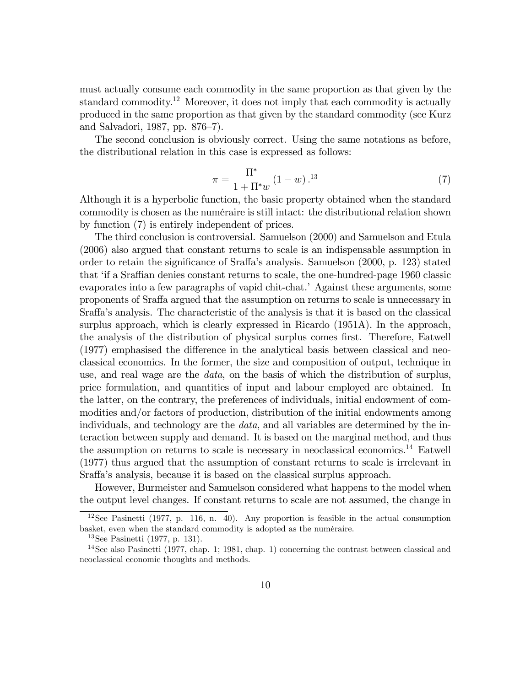must actually consume each commodity in the same proportion as that given by the standard commodity.<sup>12</sup> Moreover, it does not imply that each commodity is actually produced in the same proportion as that given by the standard commodity (see Kurz and Salvadori, 1987, pp.  $876-7$ ).

The second conclusion is obviously correct. Using the same notations as before, the distributional relation in this case is expressed as follows:

$$
\pi = \frac{\Pi^*}{1 + \Pi^* w} (1 - w)^{13} \tag{7}
$$

Although it is a hyperbolic function, the basic property obtained when the standard commodity is chosen as the numéraire is still intact: the distributional relation shown by function (7) is entirely independent of prices.

The third conclusion is controversial. Samuelson (2000) and Samuelson and Etula (2006) also argued that constant returns to scale is an indispensable assumption in order to retain the significance of Sraffa's analysis. Samuelson  $(2000, p. 123)$  stated that 'if a Sraffian denies constant returns to scale, the one-hundred-page 1960 classic evaporates into a few paragraphs of vapid chit-chat.<sup>†</sup> Against these arguments, some proponents of Sra§a argued that the assumption on returns to scale is unnecessary in Sraffa's analysis. The characteristic of the analysis is that it is based on the classical surplus approach, which is clearly expressed in Ricardo (1951A). In the approach, the analysis of the distribution of physical surplus comes first. Therefore, Eatwell  $(1977)$  emphasised the difference in the analytical basis between classical and neoclassical economics. In the former, the size and composition of output, technique in use, and real wage are the data, on the basis of which the distribution of surplus, price formulation, and quantities of input and labour employed are obtained. In the latter, on the contrary, the preferences of individuals, initial endowment of commodities and/or factors of production, distribution of the initial endowments among individuals, and technology are the data, and all variables are determined by the interaction between supply and demand. It is based on the marginal method, and thus the assumption on returns to scale is necessary in neoclassical economics.<sup>14</sup> Eatwell (1977) thus argued that the assumption of constant returns to scale is irrelevant in Sraffa's analysis, because it is based on the classical surplus approach.

However, Burmeister and Samuelson considered what happens to the model when the output level changes. If constant returns to scale are not assumed, the change in

 $12$ See Pasinetti (1977, p. 116, n. 40). Any proportion is feasible in the actual consumption basket, even when the standard commodity is adopted as the numéraire.

<sup>13</sup>See Pasinetti (1977, p. 131).

<sup>&</sup>lt;sup>14</sup>See also Pasinetti (1977, chap. 1; 1981, chap. 1) concerning the contrast between classical and neoclassical economic thoughts and methods.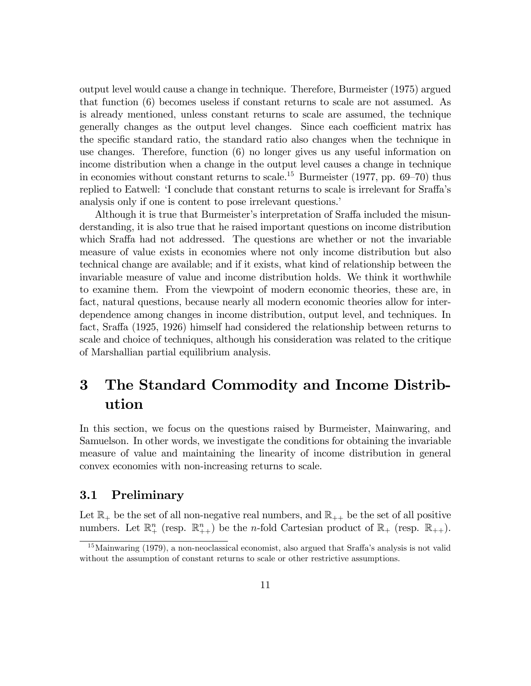output level would cause a change in technique. Therefore, Burmeister (1975) argued that function (6) becomes useless if constant returns to scale are not assumed. As is already mentioned, unless constant returns to scale are assumed, the technique generally changes as the output level changes. Since each coefficient matrix has the specific standard ratio, the standard ratio also changes when the technique in use changes. Therefore, function (6) no longer gives us any useful information on income distribution when a change in the output level causes a change in technique in economies without constant returns to scale.<sup>15</sup> Burmeister (1977, pp. 69–70) thus replied to Eatwell: 'I conclude that constant returns to scale is irrelevant for Sraffa's analysis only if one is content to pose irrelevant questions.

Although it is true that Burmeister's interpretation of Sraffa included the misunderstanding, it is also true that he raised important questions on income distribution which Sraffa had not addressed. The questions are whether or not the invariable measure of value exists in economies where not only income distribution but also technical change are available; and if it exists, what kind of relationship between the invariable measure of value and income distribution holds. We think it worthwhile to examine them. From the viewpoint of modern economic theories, these are, in fact, natural questions, because nearly all modern economic theories allow for interdependence among changes in income distribution, output level, and techniques. In fact, Sraffa (1925, 1926) himself had considered the relationship between returns to scale and choice of techniques, although his consideration was related to the critique of Marshallian partial equilibrium analysis.

## 3 The Standard Commodity and Income Distribution

In this section, we focus on the questions raised by Burmeister, Mainwaring, and Samuelson. In other words, we investigate the conditions for obtaining the invariable measure of value and maintaining the linearity of income distribution in general convex economies with non-increasing returns to scale.

#### 3.1 Preliminary

Let  $\mathbb{R}_+$  be the set of all non-negative real numbers, and  $\mathbb{R}_{++}$  be the set of all positive numbers. Let  $\mathbb{R}^n_+$  (resp.  $\mathbb{R}^n_{++}$ ) be the *n*-fold Cartesian product of  $\mathbb{R}_+$  (resp.  $\mathbb{R}_{++}$ ).

 $15$ Mainwaring (1979), a non-neoclassical economist, also argued that Sraffa's analysis is not valid without the assumption of constant returns to scale or other restrictive assumptions.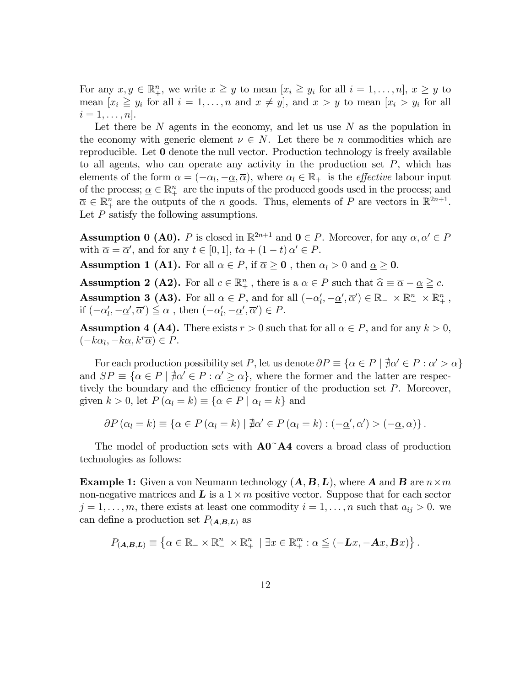For any  $x, y \in \mathbb{R}_+^n$ , we write  $x \geq y$  to mean  $[x_i \geq y_i \text{ for all } i = 1, \ldots, n], x \geq y$  to mean  $[x_i \geq y_i$  for all  $i = 1, ..., n$  and  $x \neq y$ , and  $x > y$  to mean  $[x_i > y_i]$  for all  $i=1,\ldots,n$ .

Let there be  $N$  agents in the economy, and let us use  $N$  as the population in the economy with generic element  $\nu \in N$ . Let there be *n* commodities which are reproducible. Let 0 denote the null vector. Production technology is freely available to all agents, who can operate any activity in the production set  $P$ , which has elements of the form  $\alpha = (-\alpha_l, -\alpha, \overline{\alpha})$ , where  $\alpha_l \in \mathbb{R}_+$  is the *effective* labour input of the process;  $\underline{\alpha} \in \mathbb{R}^n_+$  are the inputs of the produced goods used in the process; and  $\overline{\alpha} \in \mathbb{R}^n_+$  are the outputs of the *n* goods. Thus, elements of *P* are vectors in  $\mathbb{R}^{2n+1}$ . Let  $P$  satisfy the following assumptions.

**Assumption 0 (A0).** P is closed in  $\mathbb{R}^{2n+1}$  and  $0 \in P$ . Moreover, for any  $\alpha, \alpha' \in P$ with  $\overline{\alpha} = \overline{\alpha}'$ , and for any  $t \in [0, 1]$ ,  $t\alpha + (1 - t)\alpha' \in P$ .

**Assumption 1 (A1).** For all  $\alpha \in P$ , if  $\overline{\alpha} \ge 0$ , then  $\alpha_l > 0$  and  $\underline{\alpha} \ge 0$ .

**Assumption 2 (A2).** For all  $c \in \mathbb{R}^n_+$ , there is a  $\alpha \in P$  such that  $\widehat{\alpha} \equiv \overline{\alpha} - \underline{\alpha} \geq c$ . **Assumption 3 (A3).** For all  $\alpha \in P$ , and for all  $(-\alpha'_l, -\underline{\alpha}', \overline{\alpha}') \in \mathbb{R}_+ \times \mathbb{R}_+^n \times \mathbb{R}_+^n$ , if  $(-\alpha'_l, -\underline{\alpha}', \overline{\alpha}') \leq \alpha$ , then  $(-\alpha'_l, -\underline{\alpha}', \overline{\alpha}') \in P$ .

**Assumption 4 (A4).** There exists  $r > 0$  such that for all  $\alpha \in P$ , and for any  $k > 0$ ,  $(-k\alpha_l, -k\underline{\alpha}, k^r\overline{\alpha}) \in P.$ 

For each production possibility set P, let us denote  $\partial P \equiv {\alpha \in P \mid \nexists \alpha' \in P : \alpha' > \alpha}$ and  $SP \equiv {\alpha \in P \mid \nexists \alpha' \in P : \alpha' \geq \alpha}$ , where the former and the latter are respectively the boundary and the efficiency frontier of the production set  $P$ . Moreover, given  $k > 0$ , let  $P(\alpha_l = k) \equiv {\alpha \in P \mid \alpha_l = k}$  and

$$
\partial P(\alpha_l = k) \equiv \{ \alpha \in P(\alpha_l = k) \mid \nexists \alpha' \in P(\alpha_l = k) : (-\underline{\alpha}', \overline{\alpha}') > (-\underline{\alpha}, \overline{\alpha}) \}.
$$

The model of production sets with  $\mathbf{A0}^{\dagger} \mathbf{A4}$  covers a broad class of production technologies as follows:

**Example 1:** Given a von Neumann technology  $(A, B, L)$ , where A and B are  $n \times m$ non-negative matrices and  $\boldsymbol{L}$  is a  $1 \times m$  positive vector. Suppose that for each sector  $j = 1, \ldots, m$ , there exists at least one commodity  $i = 1, \ldots, n$  such that  $a_{ij} > 0$ . we can define a production set  $P_{(A,B,L)}$  as

$$
P_{(\mathbf{A},\mathbf{B},\mathbf{L})} \equiv \left\{ \alpha \in \mathbb{R}_{-} \times \mathbb{R}_{-}^{n} \times \mathbb{R}_{+}^{n} \mid \exists x \in \mathbb{R}_{+}^{m} : \alpha \leq (-\mathbf{L}x, -\mathbf{A}x, \mathbf{B}x) \right\}.
$$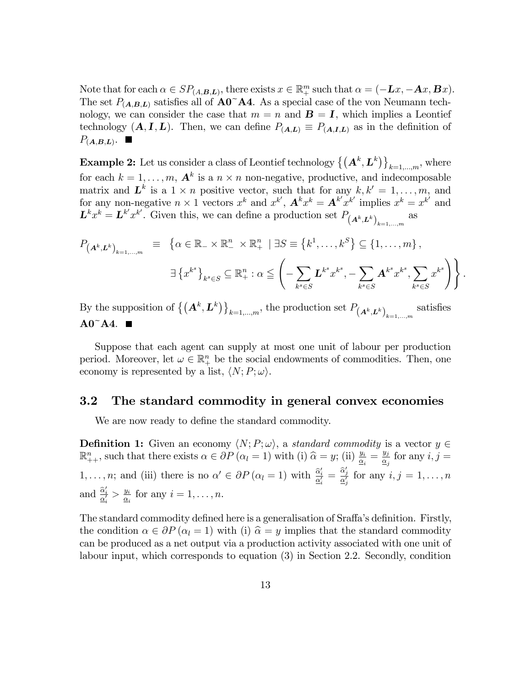Note that for each  $\alpha \in SP_{(A,B,L)}$ , there exists  $x \in \mathbb{R}^m_+$  such that  $\alpha = (-Lx, -Ax, Bx)$ . The set  $P_{(A,B,L)}$  satisfies all of  $\mathbf{A0}^{\sim} \mathbf{A4}$ . As a special case of the von Neumann technology, we can consider the case that  $m = n$  and  $\mathbf{B} = \mathbf{I}$ , which implies a Leontief technology  $(A, I, L)$ . Then, we can define  $P_{(A, L)} \equiv P_{(A, I, L)}$  as in the definition of  $P_{(A,B,L)}$ .

**Example 2:** Let us consider a class of Leontief technology  $\left\{(\mathbf{A}^k, \mathbf{L}^k)\right\}_{k=1,\dots,m}$ , where for each  $k = 1, \ldots, m$ ,  $\mathbf{A}^k$  is a  $n \times n$  non-negative, productive, and indecomposable matrix and  $\mathbf{L}^k$  is a  $1 \times n$  positive vector, such that for any  $k, k' = 1, \ldots, m$ , and for any non-negative  $n \times 1$  vectors  $x^k$  and  $x^{k'}$ ,  $\mathbf{A}^k x^k = \mathbf{A}^{k'} x^{k'}$  implies  $x^k = x^{k'}$  and  $\mathbf{L}^k x^k = \mathbf{L}^{k'} x^{k'}$ . Given this, we can define a production set  $P_{(\mathbf{A}^k, \mathbf{L}^k)}_{k=1,\dots,m}$ as

$$
P_{(\mathbf{A}^k, \mathbf{L}^k)_{k=1,\dots,m}} \equiv \left\{ \alpha \in \mathbb{R}_- \times \mathbb{R}^n_+ \times \mathbb{R}^n_+ \mid \exists S \equiv \left\{ k^1, \dots, k^S \right\} \subseteq \left\{ 1, \dots, m \right\},
$$
  

$$
\exists \left\{ x^{k^s} \right\}_{k^s \in S} \subseteq \mathbb{R}^n_+ : \alpha \leq \left( - \sum_{k^s \in S} \mathbf{L}^{k^s} x^{k^s}, - \sum_{k^s \in S} \mathbf{A}^{k^s} x^{k^s}, \sum_{k^s \in S} x^{k^s} \right) \right\}.
$$

By the supposition of  $\{(\mathbf{A}^k, \mathbf{L}^k)\}_{k=1,\dots,m}$ , the production set  $P_{(\mathbf{A}^k, \mathbf{L}^k)}_{k=1,\dots,m}$ satisfies  $A0^{\sim}A4.$ 

Suppose that each agent can supply at most one unit of labour per production period. Moreover, let  $\omega \in \mathbb{R}^n_+$  be the social endowments of commodities. Then, one economy is represented by a list,  $\langle N; P; \omega \rangle$ .

#### 3.2 The standard commodity in general convex economies

We are now ready to define the standard commodity.

**Definition 1:** Given an economy  $\langle N; P; \omega \rangle$ , a standard commodity is a vector  $y \in$  $\mathbb{R}^n_{++}$ , such that there exists  $\alpha \in \partial P$   $(\alpha_l = 1)$  with (i)  $\hat{\alpha} = y$ ; (ii)  $\frac{y_i}{\alpha_i} = \frac{y_j}{\alpha_j}$  $\frac{y_j}{\underline{\alpha}_j}$  for any  $i, j =$  $1, \ldots, n$ ; and (iii) there is no  $\alpha' \in \partial P (\alpha_i = 1)$  with  $\frac{\hat{\alpha}'_i}{\underline{\alpha}'_i} = \frac{\hat{\alpha}'_j}{\underline{\alpha}'_j}$  for any  $i, j = 1, \ldots, n$ and  $\frac{\hat{\alpha}'_i}{\underline{\alpha}'_i} > \frac{y_i}{\underline{\alpha}_i}$  $\frac{y_i}{\underline{\alpha}_i}$  for any  $i = 1, \ldots, n$ .

The standard commodity defined here is a generalisation of Sraffa's definition. Firstly, the condition  $\alpha \in \partial P(\alpha_l = 1)$  with (i)  $\hat{\alpha} = y$  implies that the standard commodity can be produced as a net output via a production activity associated with one unit of labour input, which corresponds to equation (3) in Section 2.2. Secondly, condition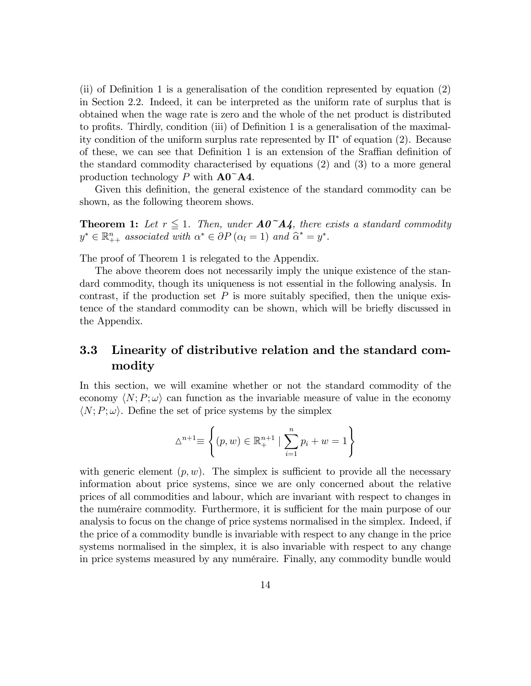(ii) of Definition 1 is a generalisation of the condition represented by equation  $(2)$ in Section 2.2. Indeed, it can be interpreted as the uniform rate of surplus that is obtained when the wage rate is zero and the whole of the net product is distributed to profits. Thirdly, condition (iii) of Definition 1 is a generalisation of the maximality condition of the uniform surplus rate represented by  $\Pi^*$  of equation (2). Because of these, we can see that Definition 1 is an extension of the Sraffian definition of the standard commodity characterised by equations (2) and (3) to a more general production technology P with  $\mathbf{A0}^{\sim} \mathbf{A4}$ .

Given this definition, the general existence of the standard commodity can be shown, as the following theorem shows.

**Theorem 1:** Let  $r \leq 1$ . Then, under  $A0^{\dagger}A4$ , there exists a standard commodity  $y^* \in \mathbb{R}_{++}^n$  associated with  $\alpha^* \in \partial P$   $(\alpha_l = 1)$  and  $\widehat{\alpha}^* = y^*$ .

The proof of Theorem 1 is relegated to the Appendix.

The above theorem does not necessarily imply the unique existence of the standard commodity, though its uniqueness is not essential in the following analysis. In contrast, if the production set  $P$  is more suitably specified, then the unique existence of the standard commodity can be shown, which will be briefly discussed in the Appendix.

#### 3.3 Linearity of distributive relation and the standard commodity

In this section, we will examine whether or not the standard commodity of the economy  $\langle N; P; \omega \rangle$  can function as the invariable measure of value in the economy  $\langle N; P; \omega \rangle$ . Define the set of price systems by the simplex

$$
\Delta^{n+1} \equiv \left\{ (p, w) \in \mathbb{R}_+^{n+1} \mid \sum_{i=1}^n p_i + w = 1 \right\}
$$

with generic element  $(p, w)$ . The simplex is sufficient to provide all the necessary information about price systems, since we are only concerned about the relative prices of all commodities and labour, which are invariant with respect to changes in the numéraire commodity. Furthermore, it is sufficient for the main purpose of our analysis to focus on the change of price systems normalised in the simplex. Indeed, if the price of a commodity bundle is invariable with respect to any change in the price systems normalised in the simplex, it is also invariable with respect to any change in price systems measured by any numéraire. Finally, any commodity bundle would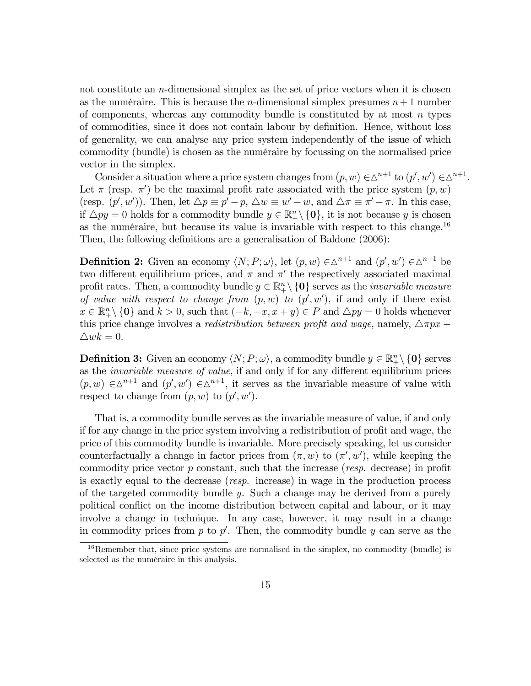not constitute an n-dimensional simplex as the set of price vectors when it is chosen as the numéraire. This is because the *n*-dimensional simplex presumes  $n+1$  number of components, whereas any commodity bundle is constituted by at most  $n$  types of commodities, since it does not contain labour by deÖnition. Hence, without loss of generality, we can analyse any price system independently of the issue of which commodity (bundle) is chosen as the numéraire by focussing on the normalised price vector in the simplex.

Consider a situation where a price system changes from  $(p, w) \in \Delta^{n+1}$  to  $(p', w') \in \Delta^{n+1}$ . Let  $\pi$  (resp.  $\pi'$ ) be the maximal profit rate associated with the price system  $(p, w)$ (resp.  $(p', w')$ ). Then, let  $\Delta p \equiv p' - p$ ,  $\Delta w \equiv w' - w$ , and  $\Delta \pi \equiv \pi' - \pi$ . In this case, if  $\Delta py = 0$  holds for a commodity bundle  $y \in \mathbb{R}^n_+ \setminus \{0\}$ , it is not because y is chosen as the numéraire, but because its value is invariable with respect to this change.<sup>16</sup> Then, the following definitions are a generalisation of Baldone (2006):

**Definition 2:** Given an economy  $\langle N; P; \omega \rangle$ , let  $(p, w) \in \Delta^{n+1}$  and  $(p', w') \in \Delta^{n+1}$  be two different equilibrium prices, and  $\pi$  and  $\pi'$  the respectively associated maximal profit rates. Then, a commodity bundle  $y \in \mathbb{R}^n_+ \setminus \{0\}$  serves as the *invariable measure* of value with respect to change from  $(p, w)$  to  $(p', w')$ , if and only if there exist  $x \in \mathbb{R}^n_+ \setminus \{0\}$  and  $k > 0$ , such that  $(-k, -x, x + y) \in P$  and  $\triangle py = 0$  holds whenever this price change involves a *redistribution between profit and wage*, namely,  $\Delta \pi px +$  $\triangle wk = 0.$ 

**Definition 3:** Given an economy  $\langle N; P; \omega \rangle$ , a commodity bundle  $y \in \mathbb{R}^n_+ \setminus \{0\}$  serves as the *invariable measure of value*, if and only if for any different equilibrium prices  $(p, w) \in \Delta^{n+1}$  and  $(p', w') \in \Delta^{n+1}$ , it serves as the invariable measure of value with respect to change from  $(p, w)$  to  $(p', w')$ .

That is, a commodity bundle serves as the invariable measure of value, if and only if for any change in the price system involving a redistribution of profit and wage, the price of this commodity bundle is invariable. More precisely speaking, let us consider counterfactually a change in factor prices from  $(\pi, w)$  to  $(\pi', w')$ , while keeping the commodity price vector  $p$  constant, such that the increase (*resp.* decrease) in profit is exactly equal to the decrease (resp. increase) in wage in the production process of the targeted commodity bundle  $y$ . Such a change may be derived from a purely political conflict on the income distribution between capital and labour, or it may involve a change in technique. In any case, however, it may result in a change in commodity prices from  $p$  to  $p'$ . Then, the commodity bundle  $y$  can serve as the

 $16$ Remember that, since price systems are normalised in the simplex, no commodity (bundle) is selected as the numéraire in this analysis.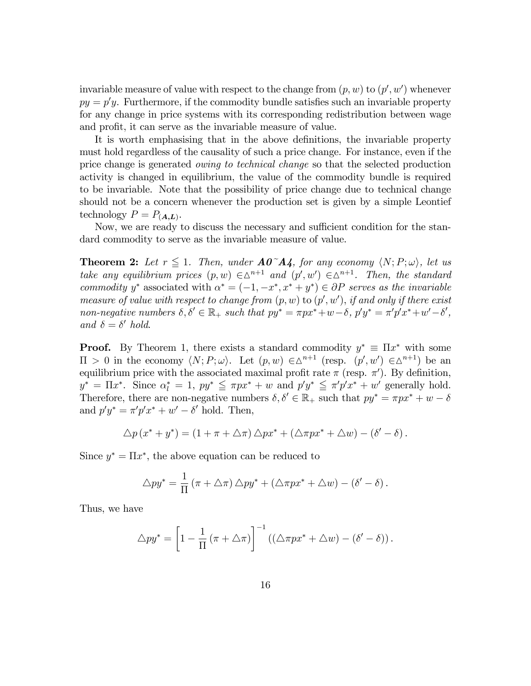invariable measure of value with respect to the change from  $(p, w)$  to  $(p', w')$  whenever  $py = p'y$ . Furthermore, if the commodity bundle satisfies such an invariable property for any change in price systems with its corresponding redistribution between wage and profit, it can serve as the invariable measure of value.

It is worth emphasising that in the above definitions, the invariable property must hold regardless of the causality of such a price change. For instance, even if the price change is generated owing to technical change so that the selected production activity is changed in equilibrium, the value of the commodity bundle is required to be invariable. Note that the possibility of price change due to technical change should not be a concern whenever the production set is given by a simple Leontief technology  $P = P_{(A,L)}$ .

Now, we are ready to discuss the necessary and sufficient condition for the standard commodity to serve as the invariable measure of value.

**Theorem 2:** Let  $r \leq 1$ . Then, under  $A0^{\dagger}A$ , for any economy  $\langle N; P; \omega \rangle$ , let us take any equilibrium prices  $(p, w) \in \Delta^{n+1}$  and  $(p', w') \in \Delta^{n+1}$ . Then, the standard commodity y<sup>\*</sup> associated with  $\alpha^* = (-1, -x^*, x^* + y^*) \in \partial P$  serves as the invariable measure of value with respect to change from  $(p, w)$  to  $(p', w')$ , if and only if there exist non-negative numbers  $\delta, \delta' \in \mathbb{R}_+$  such that  $py^* = \pi px^* + w - \delta$ ,  $p'y^* = \pi'p'x^* + w' - \delta'$ , and  $\delta = \delta'$  hold.

**Proof.** By Theorem 1, there exists a standard commodity  $y^* \equiv \Pi x^*$  with some  $\Pi > 0$  in the economy  $\langle N; P; \omega \rangle$ . Let  $(p, w) \in \Delta^{n+1}$  (resp.  $(p', w') \in \Delta^{n+1}$ ) be an equilibrium price with the associated maximal profit rate  $\pi$  (resp.  $\pi'$ ). By definition,  $y^* = \Pi x^*$ . Since  $\alpha_l^* = 1$ ,  $py^* \leq \pi px^* + w$  and  $p'y^* \leq \pi'p'x^* + w'$  generally hold. Therefore, there are non-negative numbers  $\delta, \delta' \in \mathbb{R}_+$  such that  $py^* = \pi px^* + w - \delta$ and  $p'y^* = \pi'p'x^* + w' - \delta'$  hold. Then,

$$
\Delta p(x^* + y^*) = (1 + \pi + \Delta \pi) \Delta p x^* + (\Delta \pi p x^* + \Delta w) - (\delta' - \delta).
$$

Since  $y^* = \Pi x^*$ , the above equation can be reduced to

$$
\triangle py^* = \frac{1}{\Pi} (\pi + \triangle \pi) \triangle py^* + (\triangle \pi px^* + \triangle w) - (\delta' - \delta).
$$

Thus, we have

$$
\triangle py^* = \left[1 - \frac{1}{\Pi} \left(\pi + \triangle \pi\right)\right]^{-1} \left(\left(\triangle \pi p x^* + \triangle w\right) - \left(\delta' - \delta\right)\right).
$$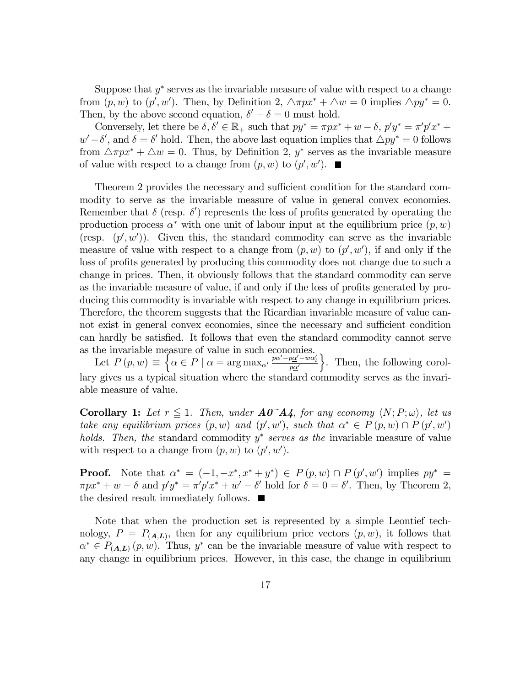Suppose that  $y^*$  serves as the invariable measure of value with respect to a change from  $(p, w)$  to  $(p', w')$ . Then, by Definition 2,  $\triangle \pi p x^* + \triangle w = 0$  implies  $\triangle p y^* = 0$ . Then, by the above second equation,  $\delta' - \delta = 0$  must hold.

Conversely, let there be  $\delta, \delta' \in \mathbb{R}_+$  such that  $py^* = \pi px^* + w - \delta$ ,  $p'y^* = \pi'p'x^* + \delta$  $w' - \delta'$ , and  $\delta = \delta'$  hold. Then, the above last equation implies that  $\Delta py^* = 0$  follows from  $\triangle \pi p x^* + \triangle w = 0$ . Thus, by Definition 2,  $y^*$  serves as the invariable measure of value with respect to a change from  $(p, w)$  to  $(p', w')$ .

Theorem 2 provides the necessary and sufficient condition for the standard commodity to serve as the invariable measure of value in general convex economies. Remember that  $\delta$  (resp.  $\delta'$ ) represents the loss of profits generated by operating the production process  $\alpha^*$  with one unit of labour input at the equilibrium price  $(p, w)$ (resp.  $(p', w')$ ). Given this, the standard commodity can serve as the invariable measure of value with respect to a change from  $(p, w)$  to  $(p', w')$ , if and only if the loss of profits generated by producing this commodity does not change due to such a change in prices. Then, it obviously follows that the standard commodity can serve as the invariable measure of value, if and only if the loss of profits generated by producing this commodity is invariable with respect to any change in equilibrium prices. Therefore, the theorem suggests that the Ricardian invariable measure of value cannot exist in general convex economies, since the necessary and sufficient condition can hardly be satisfied. It follows that even the standard commodity cannot serve as the invariable measure of value in such economies.

Let  $P(p, w) \equiv \begin{cases} \alpha \in P \mid \alpha = \arg \max_{\alpha'} \frac{p\overline{\alpha'} - p\alpha' - w\alpha'_{\alpha'}}{p\alpha'} \end{cases}$ o . Then, the following corollary gives us a typical situation where the standard commodity serves as the invariable measure of value.

**Corollary 1:** Let  $r \leq 1$ . Then, under  $A0^{\dagger}A4$ , for any economy  $\langle N; P; \omega \rangle$ , let us take any equilibrium prices  $(p, w)$  and  $(p', w')$ , such that  $\alpha^* \in P(p, w) \cap P(p', w')$ holds. Then, the standard commodity  $y^*$  serves as the invariable measure of value with respect to a change from  $(p, w)$  to  $(p', w')$ .

**Proof.** Note that  $\alpha^* = (-1, -x^*, x^* + y^*) \in P(p, w) \cap P(p', w')$  implies  $py^* =$  $\pi px^* + w - \delta$  and  $p'y^* = \pi'p'x^* + w' - \delta'$  hold for  $\delta = 0 = \delta'$ . Then, by Theorem 2, the desired result immediately follows.  $\blacksquare$ 

Note that when the production set is represented by a simple Leontief technology,  $P = P_{(A,L)}$ , then for any equilibrium price vectors  $(p, w)$ , it follows that  $\alpha^* \in P_{(A,L)}(p,w)$ . Thus,  $y^*$  can be the invariable measure of value with respect to any change in equilibrium prices. However, in this case, the change in equilibrium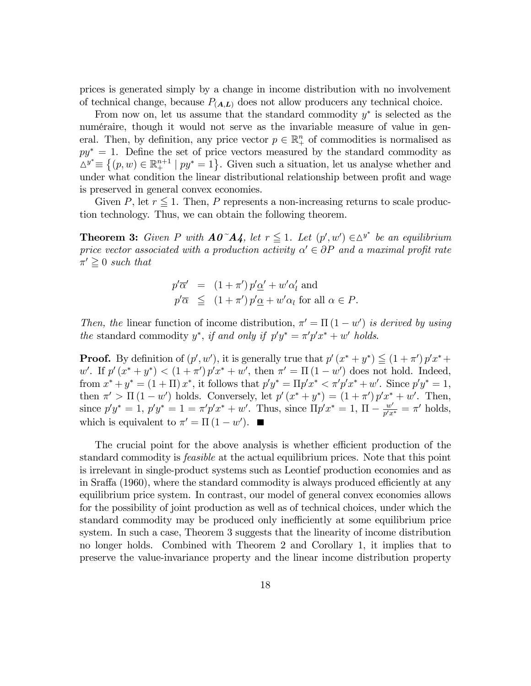prices is generated simply by a change in income distribution with no involvement of technical change, because  $P_{(A,L)}$  does not allow producers any technical choice.

From now on, let us assume that the standard commodity  $y^*$  is selected as the numéraire, though it would not serve as the invariable measure of value in general. Then, by definition, any price vector  $p \in \mathbb{R}^n_+$  of commodities is normalised as  $py^* = 1$ . Define the set of price vectors measured by the standard commodity as  $\Delta^{y^*} \equiv \{(p, w) \in \mathbb{R}^{n+1}_+ \mid py^* = 1\}$ . Given such a situation, let us analyse whether and under what condition the linear distributional relationship between profit and wage is preserved in general convex economies.

Given P, let  $r \leq 1$ . Then, P represents a non-increasing returns to scale production technology. Thus, we can obtain the following theorem.

**Theorem 3:** Given P with  $\mathbf{A0}^{\sim} \mathbf{A4}$ , let  $r \leq 1$ . Let  $(p', w') \in \Delta^{y^*}$  be an equilibrium price vector associated with a production activity  $\alpha' \in \partial P$  and a maximal profit rate  $\pi' \geq 0$  such that

$$
p'\overline{\alpha}' = (1+\pi')p'\underline{\alpha}' + w'\alpha'_{l} \text{ and}
$$
  

$$
p'\overline{\alpha} \leq (1+\pi')p'\underline{\alpha} + w'\alpha_{l} \text{ for all } \alpha \in P.
$$

Then, the linear function of income distribution,  $\pi' = \Pi (1 - w')$  is derived by using the standard commodity  $y^*$ , if and only if  $p'y^* = \pi' p' x^* + w'$  holds.

**Proof.** By definition of  $(p', w')$ , it is generally true that  $p'(x^* + y^*) \leq (1 + \pi')p'x^* +$ w'. If  $p'(x^* + y^*) < (1 + \pi') p' x^* + w'$ , then  $\pi' = \Pi (1 - w')$  does not hold. Indeed, from  $x^* + y^* = (1 + \Pi) x^*$ , it follows that  $p'y^* = \Pi p' x^* < \pi' p' x^* + w'$ . Since  $p'y^* = 1$ , then  $\pi' > \Pi(1 - w')$  holds. Conversely, let  $p'(x^* + y^*) = (1 + \pi')p'x^* + w'$ . Then, since  $p'y^* = 1$ ,  $p'y^* = 1 = \pi' p' x^* + w'$ . Thus, since  $\Pi p' x^* = 1$ ,  $\Pi - \frac{w'}{p' x}$  $\frac{w'}{p'x^*} = \pi'$  holds, which is equivalent to  $\pi' = \Pi(1 - w')$ .

The crucial point for the above analysis is whether efficient production of the standard commodity is feasible at the actual equilibrium prices. Note that this point is irrelevant in single-product systems such as Leontief production economies and as in Sraffa (1960), where the standard commodity is always produced efficiently at any equilibrium price system. In contrast, our model of general convex economies allows for the possibility of joint production as well as of technical choices, under which the standard commodity may be produced only inefficiently at some equilibrium price system. In such a case, Theorem 3 suggests that the linearity of income distribution no longer holds. Combined with Theorem 2 and Corollary 1, it implies that to preserve the value-invariance property and the linear income distribution property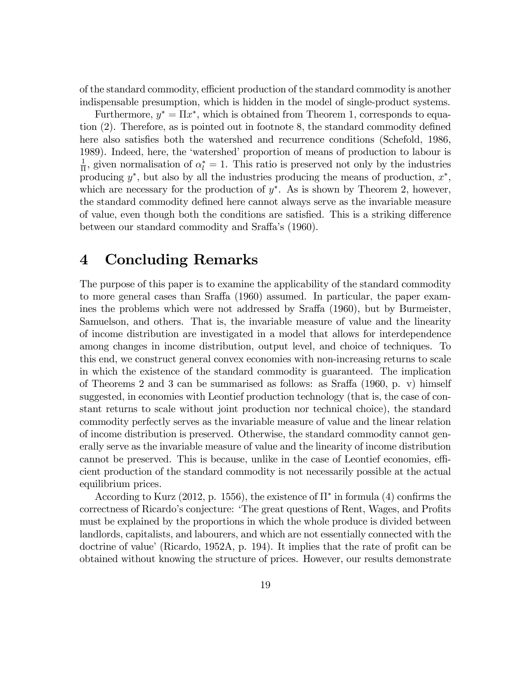of the standard commodity, efficient production of the standard commodity is another indispensable presumption, which is hidden in the model of single-product systems.

Furthermore,  $y^* = \Pi x^*$ , which is obtained from Theorem 1, corresponds to equation  $(2)$ . Therefore, as is pointed out in footnote 8, the standard commodity defined here also satisfies both the watershed and recurrence conditions (Schefold, 1986, 1989). Indeed, here, the 'watershed' proportion of means of production to labour is 1  $\frac{1}{\Pi}$ , given normalisation of  $\alpha_l^* = 1$ . This ratio is preserved not only by the industries producing  $y^*$ , but also by all the industries producing the means of production,  $x^*$ , which are necessary for the production of  $y^*$ . As is shown by Theorem 2, however, the standard commodity defined here cannot always serve as the invariable measure of value, even though both the conditions are satisfied. This is a striking difference between our standard commodity and Sraffa's (1960).

### 4 Concluding Remarks

The purpose of this paper is to examine the applicability of the standard commodity to more general cases than Sraffa (1960) assumed. In particular, the paper examines the problems which were not addressed by Sraffa (1960), but by Burmeister, Samuelson, and others. That is, the invariable measure of value and the linearity of income distribution are investigated in a model that allows for interdependence among changes in income distribution, output level, and choice of techniques. To this end, we construct general convex economies with non-increasing returns to scale in which the existence of the standard commodity is guaranteed. The implication of Theorems 2 and 3 can be summarised as follows: as Sraffa  $(1960, p. v)$  himself suggested, in economies with Leontief production technology (that is, the case of constant returns to scale without joint production nor technical choice), the standard commodity perfectly serves as the invariable measure of value and the linear relation of income distribution is preserved. Otherwise, the standard commodity cannot generally serve as the invariable measure of value and the linearity of income distribution cannot be preserved. This is because, unlike in the case of Leontief economies, efficient production of the standard commodity is not necessarily possible at the actual equilibrium prices.

According to Kurz (2012, p. 1556), the existence of  $\Pi^*$  in formula (4) confirms the correctness of Ricardo's conjecture: 'The great questions of Rent, Wages, and Profits must be explained by the proportions in which the whole produce is divided between landlords, capitalists, and labourers, and which are not essentially connected with the doctrine of value' (Ricardo, 1952A, p. 194). It implies that the rate of profit can be obtained without knowing the structure of prices. However, our results demonstrate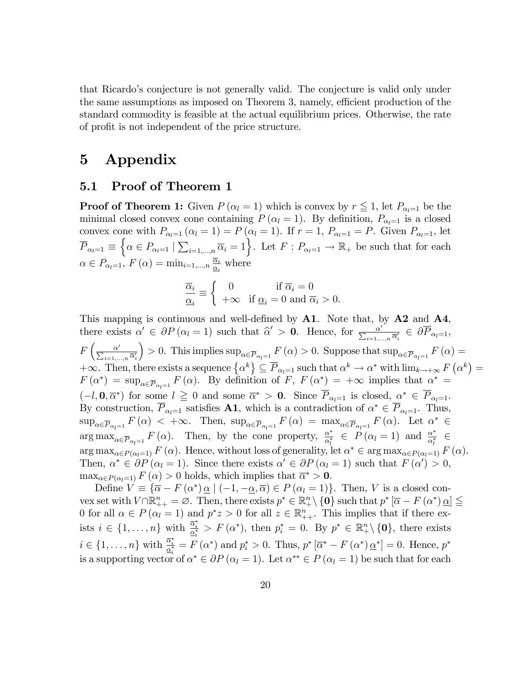that Ricardoís conjecture is not generally valid. The conjecture is valid only under the same assumptions as imposed on Theorem 3, namely, efficient production of the standard commodity is feasible at the actual equilibrium prices. Otherwise, the rate of profit is not independent of the price structure.

## 5 Appendix

#### 5.1 Proof of Theorem 1

**Proof of Theorem 1:** Given  $P(\alpha_l = 1)$  which is convex by  $r \leq 1$ , let  $P_{\alpha_l=1}$  be the minimal closed convex cone containing  $P(\alpha_l = 1)$ . By definition,  $P_{\alpha_l=1}$  is a closed convex cone with  $P_{\alpha_l=1} (\alpha_l = 1) = P (\alpha_l = 1)$ . If  $r = 1, P_{\alpha_l=1} = P$ . Given  $P_{\alpha_l=1}$ , let  $\overline{P}_{\alpha_l=1} \equiv \left\{ \alpha \in P_{\alpha_l=1} \mid \sum_{i=1,\dots,n} \overline{\alpha}_i = 1 \right\}$ . Let  $F : P_{\alpha_l=1} \to \mathbb{R}_+$  be such that for each  $\alpha \in P_{\alpha_l=1}, F(\alpha) = \min_{i=1,\dots,n} \frac{\overline{\alpha_i}}{\underline{\alpha_i}}$  $\frac{\overline{\alpha_i}}{\underline{\alpha_i}}$  where

$$
\frac{\overline{\alpha}_i}{\underline{\alpha}_i}\equiv \left\{ \begin{array}{ll} 0 & \mbox{if $\overline{\alpha}_i=0$}\\ +\infty & \mbox{if $\underline{\alpha}_i=0$ and $\overline{\alpha}_i>0$}. \end{array} \right.
$$

This mapping is continuous and well-defined by  $A1$ . Note that, by  $A2$  and  $A4$ , there exists  $\alpha' \in \partial P (\alpha_l = 1)$  such that  $\hat{\alpha}' > 0$ . Hence, for  $\frac{\alpha'}{\sum_{i=1,\dots,n} \overline{\alpha'_i}} \in \partial \overline{P}_{\alpha_l=1}$ ,  $F\left(\frac{\alpha'}{\sum_{i=1,...,n}\overline{\alpha}'_i}\right)$  $\Big) > 0$ . This implies  $\sup_{\alpha \in \overline{P}_{\alpha} = 1} F(\alpha) > 0$ . Suppose that  $\sup_{\alpha \in \overline{P}_{\alpha} = 1} F(\alpha) =$  $+\infty$ . Then, there exists a sequence  $\{\alpha^k\}\subseteq \overline{P}_{\alpha_l=1}$  such that  $\alpha^k\to \alpha^*$  with  $\lim_{k\to+\infty}F(\alpha^k)=$  $F(\alpha^*) = \sup_{\alpha \in \overline{P}_{\alpha_i=1}} F(\alpha)$ . By definition of  $F, F(\alpha^*) = +\infty$  implies that  $\alpha^* =$  $(-l, 0, \overline{\alpha}^*)$  for some  $l \geq 0$  and some  $\overline{\alpha}^* > 0$ . Since  $P_{\alpha_l=1}$  is closed,  $\alpha^* \in P_{\alpha_l=1}$ . By construction,  $P_{\alpha_l=1}$  satisfies **A1**, which is a contradiction of  $\alpha^* \in P_{\alpha_l=1}$ . Thus,  $\sup_{\alpha \in \overline{P}_{\alpha_l=1}} F(\alpha) < +\infty$ . Then,  $\sup_{\alpha \in \overline{P}_{\alpha_l=1}} F(\alpha) = \max_{\alpha \in \overline{P}_{\alpha_l=1}} F(\alpha)$ . Let  $\alpha^* \in$  $\arg \max_{\alpha \in \overline{P}_{\alpha_l=1}} F(\alpha)$ . Then, by the cone property,  $\frac{\alpha^*}{\alpha_l^*}$  $\frac{\alpha^*}{\alpha_l^*} \in P(\alpha_l = 1)$  and  $\frac{\alpha^*}{\alpha_l^*}$  $\frac{1}{\alpha_l^*}$   $\in$  $\arg \max_{\alpha \in P(\alpha_l=1)} F(\alpha)$ . Hence, without loss of generality, let  $\alpha^* \in \arg \max_{\alpha \in P(\alpha_l=1)} F(\alpha)$ . Then,  $\alpha^* \in \partial P(\alpha_l = 1)$ . Since there exists  $\alpha' \in \partial P(\alpha_l = 1)$  such that  $F(\alpha') > 0$ ,  $\max_{\alpha \in P(\alpha_l=1)} F(\alpha) > 0$  holds, which implies that  $\overline{\alpha}^* > 0$ .

Define  $V \equiv \{ \overline{\alpha} - F(\alpha^*) \underline{\alpha} \mid (-1, -\underline{\alpha}, \overline{\alpha}) \in P(\alpha_i = 1) \}.$  Then, V is a closed convex set with  $V \cap \mathbb{R}_{++}^n = \emptyset$ . Then, there exists  $p^* \in \mathbb{R}_+^n \setminus \{0\}$  such that  $p^* \left[\overline{\alpha} - F(\alpha^*) \underline{\alpha}\right] \le$ 0 for all  $\alpha \in P(\alpha_i = 1)$  and  $p^*z > 0$  for all  $z \in \mathbb{R}_{++}^n$ . This implies that if there exists  $i \in \{1, \ldots, n\}$  with  $\frac{\overline{\alpha}_i^*}{\underline{\alpha}_i^*} > F(\alpha^*)$ , then  $p_i^* = 0$ . By  $p^* \in \mathbb{R}_+^n \setminus \{0\}$ , there exists  $i \in \{1, \ldots, n\}$  with  $\frac{\overline{\alpha}_i^*}{\underline{\alpha}_i^*} = F(\alpha^*)$  and  $p_i^* > 0$ . Thus,  $p^* [\overline{\alpha}^* - F(\alpha^*) \underline{\alpha}^*] = 0$ . Hence,  $p^*$ is a supporting vector of  $\alpha^* \in \partial P (\alpha_l = 1)$ . Let  $\alpha^{**} \in P (\alpha_l = 1)$  be such that for each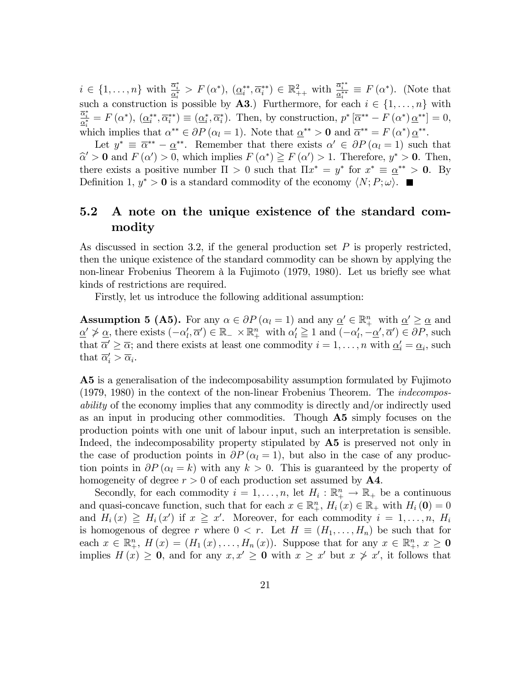$i \in \{1, \ldots, n\}$  with  $\frac{\overline{\alpha}_i^*}{\underline{\alpha}_i^*} > F(\alpha^*), \ (\underline{\alpha}_i^{**}, \overline{\alpha}_i^{**}) \in \mathbb{R}^2_{++}$  with  $\frac{\overline{\alpha}_i^{**}}{\underline{\alpha}_i^{**}} \equiv F(\alpha^*).$  (Note that such a construction is possible by **A3**.) Furthermore, for each  $i \in \{1, \ldots, n\}$  with  $\frac{\overline{\alpha}_i^*}{\underline{\alpha}_i^*} = F(\alpha^*), \ (\underline{\alpha}_i^{**}, \overline{\alpha}_i^{**}) \equiv (\underline{\alpha}_i^*, \overline{\alpha}_i^*).$  Then, by construction,  $p^* [\overline{\alpha}^{**} - F(\alpha^*) \underline{\alpha}^{**}] = 0$ , which implies that  $\alpha^{**} \in \partial P (\alpha_l = 1)$ . Note that  $\underline{\alpha}^{**} > 0$  and  $\overline{\alpha}^{**} = F (\alpha^*) \underline{\alpha}^{**}$ .

Let  $y^* \equiv \overline{\alpha}^{**} - \underline{\alpha}^{**}$ . Remember that there exists  $\alpha' \in \partial P(\alpha_l = 1)$  such that  $\widehat{\alpha}' > 0$  and  $F(\alpha') > 0$ , which implies  $F(\alpha^*) \geq F(\alpha') > 1$ . Therefore,  $y^* > 0$ . Then, there exists a positive number  $\Pi > 0$  such that  $\Pi x^* = y^*$  for  $x^* \equiv \alpha^{**} > 0$ . By Definition 1,  $y^* > 0$  is a standard commodity of the economy  $\langle N; P; \omega \rangle$ .

#### 5.2 A note on the unique existence of the standard commodity

As discussed in section 3.2, if the general production set  $P$  is properly restricted, then the unique existence of the standard commodity can be shown by applying the non-linear Frobenius Theorem à la Fujimoto (1979, 1980). Let us briefly see what kinds of restrictions are required.

Firstly, let us introduce the following additional assumption:

**Assumption 5 (A5).** For any  $\alpha \in \partial P$  ( $\alpha_l = 1$ ) and any  $\alpha' \in \mathbb{R}^n_+$  with  $\alpha' \geq \alpha$  and  $\underline{\alpha'} \ngeq \underline{\alpha}$ , there exists  $(-\alpha'_l, \overline{\alpha'}) \in \mathbb{R}_- \times \mathbb{R}^n_+$  with  $\alpha'_l \geq 1$  and  $(-\alpha'_l, -\underline{\alpha'}, \overline{\alpha'}) \in \partial P$ , such that  $\overline{\alpha}' \geq \overline{\alpha}$ ; and there exists at least one commodity  $i = 1, \ldots, n$  with  $\underline{\alpha}'_i = \underline{\alpha}_i$ , such that  $\overline{\alpha}'_i > \overline{\alpha}_i$ .

A5 is a generalisation of the indecomposability assumption formulated by Fujimoto (1979, 1980) in the context of the non-linear Frobenius Theorem. The indecomposability of the economy implies that any commodity is directly and/or indirectly used as an input in producing other commodities. Though A5 simply focuses on the production points with one unit of labour input, such an interpretation is sensible. Indeed, the indecomposability property stipulated by A5 is preserved not only in the case of production points in  $\partial P(\alpha_1 = 1)$ , but also in the case of any production points in  $\partial P(\alpha_l = k)$  with any  $k > 0$ . This is guaranteed by the property of homogeneity of degree  $r > 0$  of each production set assumed by **A4**.

Secondly, for each commodity  $i = 1, ..., n$ , let  $H_i : \mathbb{R}^n_+ \to \mathbb{R}_+$  be a continuous and quasi-concave function, such that for each  $x \in \mathbb{R}^n_+$ ,  $H_i(x) \in \mathbb{R}_+$  with  $H_i(0) = 0$ and  $H_i(x) \geq H_i(x')$  if  $x \geq x'$ . Moreover, for each commodity  $i = 1, \ldots, n$ ,  $H_i$ is homogenous of degree r where  $0 < r$ . Let  $H \equiv (H_1, \ldots, H_n)$  be such that for each  $x \in \mathbb{R}^n_+$ ,  $H(x) = (H_1(x), \ldots, H_n(x))$ . Suppose that for any  $x \in \mathbb{R}^n_+$ ,  $x \ge 0$ implies  $H(x) \geq 0$ , and for any  $x, x' \geq 0$  with  $x \geq x'$  but  $x \not\geq x'$ , it follows that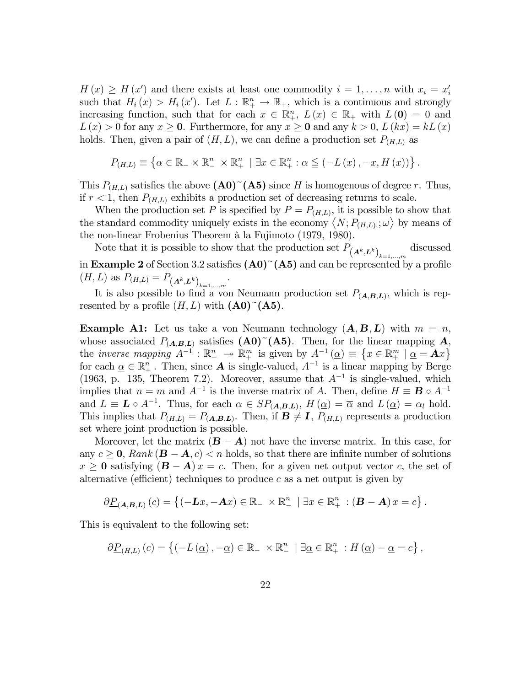$H(x) \geq H(x')$  and there exists at least one commodity  $i = 1, \ldots, n$  with  $x_i = x'_i$ such that  $H_i(x) > H_i(x')$ . Let  $L : \mathbb{R}^n_+ \to \mathbb{R}_+$ , which is a continuous and strongly increasing function, such that for each  $x \in \mathbb{R}^n_+$ ,  $L(x) \in \mathbb{R}_+$  with  $L(0) = 0$  and  $L(x) > 0$  for any  $x \ge 0$ . Furthermore, for any  $x \ge 0$  and any  $k > 0$ ,  $L(kx) = kL(x)$ holds. Then, given a pair of  $(H, L)$ , we can define a production set  $P_{(H, L)}$  as

$$
P_{(H,L)} \equiv \left\{ \alpha \in \mathbb{R}_{-} \times \mathbb{R}_{-}^{n} \times \mathbb{R}_{+}^{n} \mid \exists x \in \mathbb{R}_{+}^{n} : \alpha \leq (-L(x), -x, H(x)) \right\}.
$$

This  $P_{(H,L)}$  satisfies the above  $(\mathbf{A0})^{\sim}(\mathbf{A5})$  since H is homogenous of degree r. Thus, if  $r < 1$ , then  $P_{(H,L)}$  exhibits a production set of decreasing returns to scale.

When the production set P is specified by  $P = P_{(H,L)}$ , it is possible to show that the standard commodity uniquely exists in the economy  $\langle N; P_{(H,L)}; \omega \rangle$  by means of the non-linear Frobenius Theorem à la Fujimoto (1979, 1980).

Note that it is possible to show that the production set  $P_{(A^k, L^k)}_{k=1,\dots,m}$ discussed in Example 2 of Section 3.2 satisfies  $(A0)^{2}(A5)$  and can be represented by a profile  $(H, L)$  as  $P_{(H, L)} = P_{(A^k, L^k)}_{k=1,\dots,m}$ .

It is also possible to find a von Neumann production set  $P_{(A,B,L)}$ , which is represented by a profile  $(H, L)$  with  $(\mathbf{A0})^{\sim}(\mathbf{A5})$ .

**Example A1:** Let us take a von Neumann technology  $(A, B, L)$  with  $m = n$ , whose associated  $P_{(A,B,L)}$  satisfies  $(A0)^{T}(A5)$ . Then, for the linear mapping A, the *inverse mapping*  $A^{-1}: \mathbb{R}^n_+ \to \mathbb{R}^m_+$  is given by  $A^{-1}(\underline{\alpha}) \equiv \{x \in \mathbb{R}^m_+ | \underline{\alpha} = \mathbf{A}x\}$ for each  $\alpha \in \mathbb{R}^n_+$ . Then, since **A** is single-valued,  $A^{-1}$  is a linear mapping by Berge (1963, p. 135, Theorem 7.2). Moreover, assume that  $A^{-1}$  is single-valued, which implies that  $n = m$  and  $A^{-1}$  is the inverse matrix of A. Then, define  $H \equiv \mathbf{B} \circ A^{-1}$ and  $L \equiv L \circ A^{-1}$ . Thus, for each  $\alpha \in SP_{(A,B,L)}, H(\underline{\alpha}) = \overline{\alpha}$  and  $L(\underline{\alpha}) = \alpha_l$  hold. This implies that  $P_{(H,L)} = P_{(A,B,L)}$ . Then, if  $B \neq I$ ,  $P_{(H,L)}$  represents a production set where joint production is possible.

Moreover, let the matrix  $(B - A)$  not have the inverse matrix. In this case, for any  $c \geq 0$ , Rank  $(\mathbf{B} - \mathbf{A}, c) < n$  holds, so that there are infinite number of solutions  $x \ge 0$  satisfying  $(B - A)x = c$ . Then, for a given net output vector c, the set of alternative (efficient) techniques to produce c as a net output is given by

$$
\partial \underline{P}_{(A,B,L)}(c) = \left\{ (-\mathbf{L}x, -\mathbf{A}x) \in \mathbb{R}_{-} \times \mathbb{R}_{-}^{n} \mid \exists x \in \mathbb{R}_{+}^{n} : (\mathbf{B} - \mathbf{A})x = c \right\}.
$$

This is equivalent to the following set:

$$
\partial \underline{P}_{(H,L)}(c) = \left\{ (-L(\underline{\alpha}), -\underline{\alpha}) \in \mathbb{R}_{-} \times \mathbb{R}_{-}^{n} \mid \exists \underline{\alpha} \in \mathbb{R}_{+}^{n} : H(\underline{\alpha}) - \underline{\alpha} = c \right\},\
$$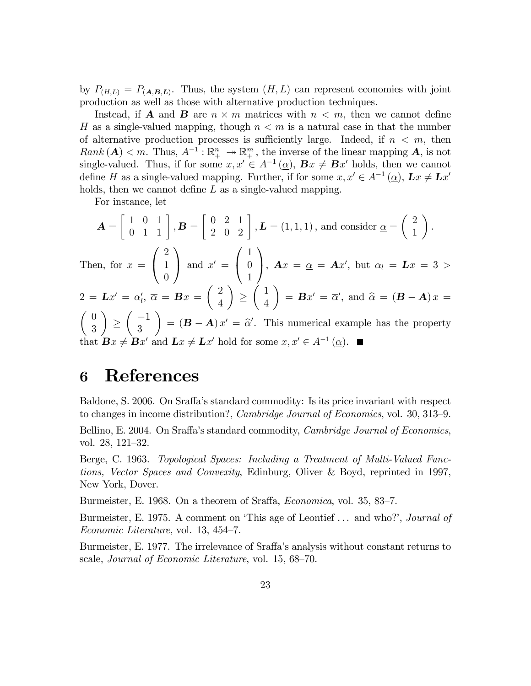by  $P_{(H,L)} = P_{(A,B,L)}$ . Thus, the system  $(H, L)$  can represent economies with joint production as well as those with alternative production techniques.

Instead, if **A** and **B** are  $n \times m$  matrices with  $n \lt m$ , then we cannot define H as a single-valued mapping, though  $n < m$  is a natural case in that the number of alternative production processes is sufficiently large. Indeed, if  $n < m$ , then  $Rank\left(\boldsymbol{A}\right) < m$ . Thus,  $A^{-1}: \mathbb{R}^n_+ \to \mathbb{R}^m_+$ , the inverse of the linear mapping  $\boldsymbol{A}$ , is not single-valued. Thus, if for some  $x, x' \in A^{-1}(\underline{\alpha})$ ,  $\mathbf{B}x \neq \mathbf{B}x'$  holds, then we cannot define H as a single-valued mapping. Further, if for some  $x, x' \in A^{-1}(\underline{\alpha})$ ,  $\mathbf{L}x \neq \mathbf{L}x'$ holds, then we cannot define  $L$  as a single-valued mapping.

For instance, let

 ${\bf A} =$  $\left[\begin{array}{ccc} 1 & 0 & 1 \\ 0 & 1 & 1 \end{array}\right]$ ,  $\boldsymbol{B} =$  $\begin{bmatrix} 0 & 2 & 1 \\ 2 & 0 & 2 \end{bmatrix}$ ,  $\boldsymbol{L} = (1, 1, 1)$ , and consider  $\underline{\alpha} =$  $\begin{pmatrix} 2 \end{pmatrix}$ 1  $\overline{ }$ . Then, for  $x =$  $\sqrt{ }$  $\overline{1}$ 2 1  $\overline{0}$  $\setminus$ | and  $x' =$  $\sqrt{ }$  $\overline{1}$ 1 0 1 1  $\bigg\}, Ax = \underline{\alpha} = Ax', \text{ but } \alpha_l = Lx = 3 >$  $2 = \boldsymbol{L}x' = \alpha'_l, \ \overline{\alpha} = \boldsymbol{B}x =$  $\begin{pmatrix} 2 \end{pmatrix}$ 4  $\lambda$  $\leq$  $\left(1\right)$ 4  $\lambda$  $=$   $\mathbf{B}x' = \overline{\alpha}'$ , and  $\widehat{\alpha} = (\mathbf{B} - \mathbf{A})x =$  $\left( 0 \right)$ 3  $\overline{ }$  $\leq$  $\begin{pmatrix} -1 \end{pmatrix}$ 3  $\overline{ }$  $= (\mathbf{B} - \mathbf{A}) x' = \hat{\alpha}'$ . This numerical example has the property that  $\mathbf{B}x \neq \mathbf{B}x'$  and  $\mathbf{L}x \neq \mathbf{L}x'$  hold for some  $x, x' \in A^{-1}(\underline{\alpha})$ .

## 6 References

Baldone, S. 2006. On Sraffa's standard commodity: Is its price invariant with respect to changes in income distribution?, *Cambridge Journal of Economics*, vol. 30, 313–9.

Bellino, E. 2004. On Sraffa's standard commodity, *Cambridge Journal of Economics*, vol.  $28, 121-32.$ 

Berge, C. 1963. Topological Spaces: Including a Treatment of Multi-Valued Functions, Vector Spaces and Convexity, Edinburg, Oliver & Boyd, reprinted in 1997, New York, Dover.

Burmeister, E. 1968. On a theorem of Sraffa, *Economica*, vol. 35, 83–7.

Burmeister, E. 1975. A comment on 'This age of Leontief ... and who?', *Journal of* Economic Literature, vol. 13,  $454-7$ .

Burmeister, E. 1977. The irrelevance of Sraffa's analysis without constant returns to scale, *Journal of Economic Literature*, vol. 15, 68–70.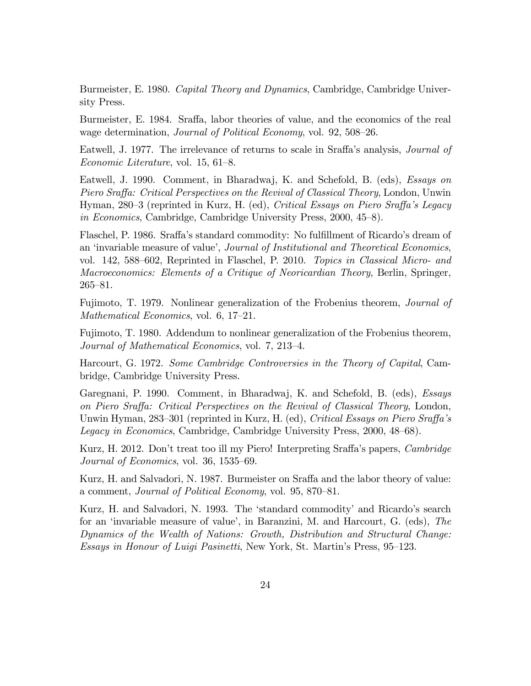Burmeister, E. 1980. Capital Theory and Dynamics, Cambridge, Cambridge University Press.

Burmeister, E. 1984. Sraffa, labor theories of value, and the economics of the real wage determination, Journal of Political Economy, vol. 92, 508–26.

Eatwell, J. 1977. The irrelevance of returns to scale in Sraffa's analysis, *Journal of* Economic Literature, vol.  $15, 61-8$ .

Eatwell, J. 1990. Comment, in Bharadwaj, K. and Schefold, B. (eds), Essays on Piero Sraffa: Critical Perspectives on the Revival of Classical Theory, London, Unwin Hyman, 280–3 (reprinted in Kurz, H. (ed), Critical Essays on Piero Sraffa's Legacy in Economics, Cambridge, Cambridge University Press,  $2000, 45-8$ ).

Flaschel, P. 1986. Sraffa's standard commodity: No fulfillment of Ricardo's dream of an 'invariable measure of value', Journal of Institutional and Theoretical Economics, vol. 142, 588–602, Reprinted in Flaschel, P. 2010. *Topics in Classical Micro- and* Macroeconomics: Elements of a Critique of Neoricardian Theory, Berlin, Springer,  $265 - 81.$ 

Fujimoto, T. 1979. Nonlinear generalization of the Frobenius theorem, Journal of Mathematical Economics, vol.  $6, 17-21$ .

Fujimoto, T. 1980. Addendum to nonlinear generalization of the Frobenius theorem, Journal of Mathematical Economics, vol. 7, 213–4.

Harcourt, G. 1972. Some Cambridge Controversies in the Theory of Capital, Cambridge, Cambridge University Press.

Garegnani, P. 1990. Comment, in Bharadwaj, K. and Schefold, B. (eds), *Essays* on Piero Sraffa: Critical Perspectives on the Revival of Classical Theory, London, Unwin Hyman, 283–301 (reprinted in Kurz, H. (ed), Critical Essays on Piero Sraffa's Legacy in Economics, Cambridge, Cambridge University Press, 2000, 48–68).

Kurz, H. 2012. Don't treat too ill my Piero! Interpreting Sraffa's papers, Cambridge Journal of Economics, vol. 36,  $1535-69$ .

Kurz, H. and Salvadori, N. 1987. Burmeister on Sraffa and the labor theory of value: a comment, Journal of Political Economy, vol. 95, 870–81.

Kurz, H. and Salvadori, N. 1993. The 'standard commodity' and Ricardo's search for an 'invariable measure of value', in Baranzini, M. and Harcourt, G. (eds), The Dynamics of the Wealth of Nations: Growth, Distribution and Structural Change: Essays in Honour of Luigi Pasinetti, New York, St. Martin's Press, 95–123.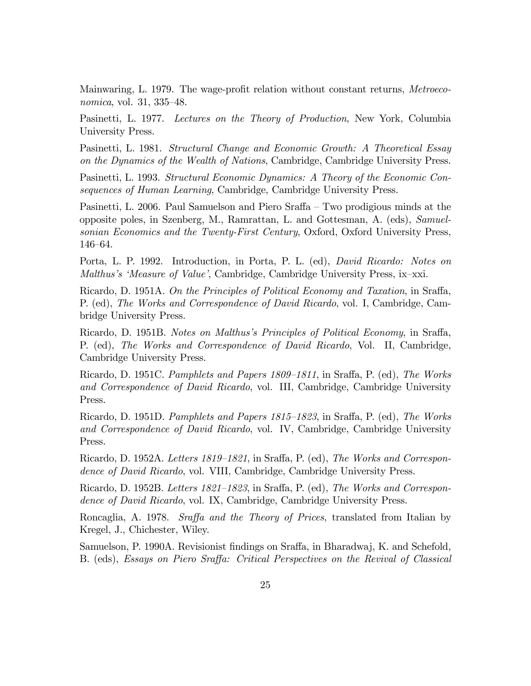Mainwaring, L. 1979. The wage-profit relation without constant returns, *Metroeco*nomica, vol. 31, 335–48.

Pasinetti, L. 1977. Lectures on the Theory of Production, New York, Columbia University Press.

Pasinetti, L. 1981. Structural Change and Economic Growth: A Theoretical Essay on the Dynamics of the Wealth of Nations, Cambridge, Cambridge University Press.

Pasinetti, L. 1993. Structural Economic Dynamics: A Theory of the Economic Consequences of Human Learning, Cambridge, Cambridge University Press.

Pasinetti, L. 2006. Paul Samuelson and Piero Sraffa  $-$  Two prodigious minds at the opposite poles, in Szenberg, M., Ramrattan, L. and Gottesman, A. (eds), Samuelsonian Economics and the Twenty-First Century, Oxford, Oxford University Press, 146-64.

Porta, L. P. 1992. Introduction, in Porta, P. L. (ed), David Ricardo: Notes on Malthus's 'Measure of Value', Cambridge, Cambridge University Press, ix-xxi.

Ricardo, D. 1951A. On the Principles of Political Economy and Taxation, in Sraffa, P. (ed), The Works and Correspondence of David Ricardo, vol. I, Cambridge, Cambridge University Press.

Ricardo, D. 1951B. Notes on Malthus's Principles of Political Economy, in Sraffa, P. (ed), The Works and Correspondence of David Ricardo, Vol. II, Cambridge, Cambridge University Press.

Ricardo, D. 1951C. Pamphlets and Papers  $1809-1811$ , in Sraffa, P. (ed), The Works and Correspondence of David Ricardo, vol. III, Cambridge, Cambridge University Press.

Ricardo, D. 1951D. Pamphlets and Papers  $1815-1823$ , in Sraffa, P. (ed), The Works and Correspondence of David Ricardo, vol. IV, Cambridge, Cambridge University Press.

Ricardo, D. 1952A. Letters 1819–1821, in Sraffa, P. (ed), The Works and Correspondence of David Ricardo, vol. VIII, Cambridge, Cambridge University Press.

Ricardo, D. 1952B. Letters 1821–1823, in Sraffa, P. (ed), The Works and Correspondence of David Ricardo, vol. IX, Cambridge, Cambridge University Press.

Roncaglia, A. 1978. Sraffa and the Theory of Prices, translated from Italian by Kregel, J., Chichester, Wiley.

Samuelson, P. 1990A. Revisionist findings on Sraffa, in Bharadwaj, K. and Schefold, B. (eds), Essays on Piero Sraffa: Critical Perspectives on the Revival of Classical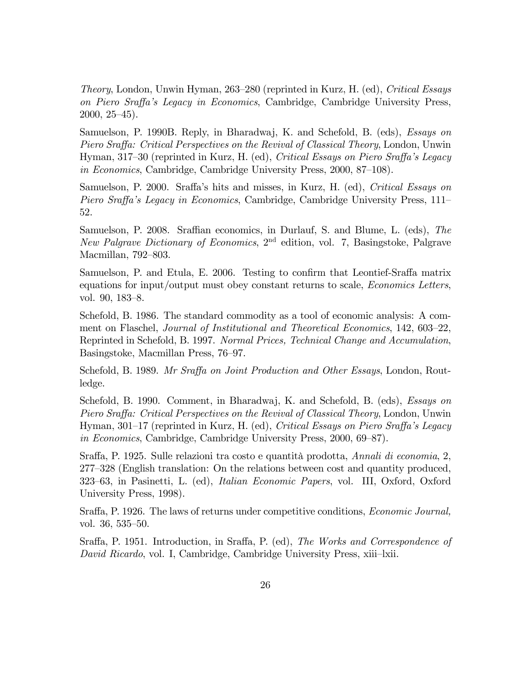Theory, London, Unwin Hyman, 263–280 (reprinted in Kurz, H. (ed), Critical Essays on Piero Sraffa's Legacy in Economics, Cambridge, Cambridge University Press,  $2000, 25-45$ .

Samuelson, P. 1990B. Reply, in Bharadwaj, K. and Schefold, B. (eds), Essays on Piero Sraffa: Critical Perspectives on the Revival of Classical Theory, London, Unwin Hyman, 317–30 (reprinted in Kurz, H. (ed), Critical Essays on Piero Sraffa's Legacy in Economics, Cambridge, Cambridge University Press,  $2000, 87-108$ ).

Samuelson, P. 2000. Sraffa's hits and misses, in Kurz, H. (ed), Critical Essays on Piero Sraffa's Legacy in Economics, Cambridge, Cambridge University Press, 111– 52.

Samuelson, P. 2008. Sraffian economics, in Durlauf, S. and Blume, L. (eds), The New Palgrave Dictionary of Economics,  $2<sup>nd</sup>$  edition, vol. 7, Basingstoke, Palgrave Macmillan, 792–803.

Samuelson, P. and Etula, E. 2006. Testing to confirm that Leontief-Sraffa matrix equations for input/output must obey constant returns to scale, Economics Letters, vol.  $90, 183 - 8.$ 

Schefold, B. 1986. The standard commodity as a tool of economic analysis: A comment on Flaschel, Journal of Institutional and Theoretical Economics, 142, 603-22, Reprinted in Schefold, B. 1997. Normal Prices, Technical Change and Accumulation, Basingstoke, Macmillan Press, 76–97.

Schefold, B. 1989. Mr Sraffa on Joint Production and Other Essays, London, Routledge.

Schefold, B. 1990. Comment, in Bharadwaj, K. and Schefold, B. (eds), Essays on Piero Sraffa: Critical Perspectives on the Revival of Classical Theory, London, Unwin Hyman, 301–17 (reprinted in Kurz, H. (ed), Critical Essays on Piero Sraffa's Legacy in Economics, Cambridge, Cambridge University Press,  $2000, 69–87$ .

Sraffa, P. 1925. Sulle relazioni tra costo e quantità prodotta, Annali di economia, 2, 277–328 (English translation: On the relations between cost and quantity produced, 323–63, in Pasinetti, L. (ed), *Italian Economic Papers*, vol. III, Oxford, Oxford University Press, 1998).

Sraffa, P. 1926. The laws of returns under competitive conditions, *Economic Journal*, vol.  $36, 535 - 50$ .

Sraffa, P. 1951. Introduction, in Sraffa, P. (ed), *The Works and Correspondence of* David Ricardo, vol. I, Cambridge, Cambridge University Press, xiii-lxii.